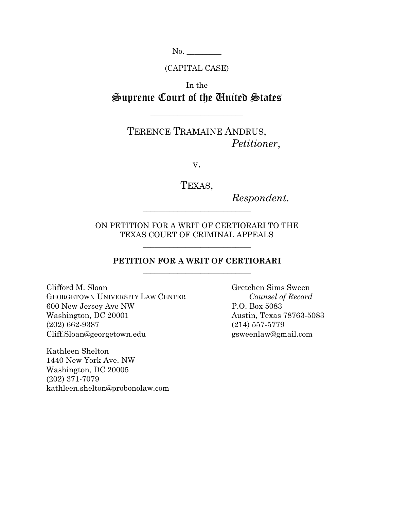No. \_\_\_\_\_\_\_\_\_

(CAPITAL CASE)

In the Supreme Court of the United States

**\_\_\_\_\_\_\_\_\_\_\_\_\_\_\_\_\_\_\_\_\_\_\_\_**

# TERENCE TRAMAINE ANDRUS, *Petitioner*,

v.

TEXAS,

*Respondent*.

ON PETITION FOR A WRIT OF CERTIORARI TO THE TEXAS COURT OF CRIMINAL APPEALS

**\_\_\_\_\_\_\_\_\_\_\_\_\_\_\_\_\_\_\_\_\_\_\_\_\_\_\_\_**

**\_\_\_\_\_\_\_\_\_\_\_\_\_\_\_\_\_\_\_\_\_\_\_\_\_\_\_\_**

## **PETITION FOR A WRIT OF CERTIORARI \_\_\_\_\_\_\_\_\_\_\_\_\_\_\_\_\_\_\_\_\_\_\_\_\_\_\_\_**

Clifford M. Sloan Gretchen Sims Sween GEORGETOWN UNIVERSITY LAW CENTER *Counsel of Record* 600 New Jersey Ave NW P.O. Box 5083 Washington, DC 20001 Austin, Texas 78763-5083 (202) 662-9387 (214) 557-5779 Cliff.Sloan@georgetown.edu gsweenlaw@gmail.com

Kathleen Shelton 1440 New York Ave. NW Washington, DC 20005 (202) 371-7079 kathleen.shelton@probonolaw.com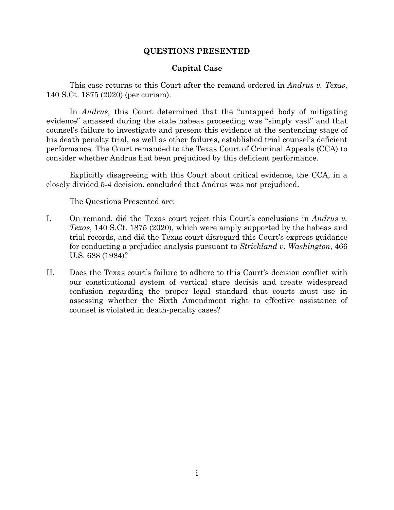## **QUESTIONS PRESENTED**

## **Capital Case**

This case returns to this Court after the remand ordered in *Andrus v. Texas*, 140 S.Ct. 1875 (2020) (per curiam).

In *Andrus*, this Court determined that the "untapped body of mitigating evidence" amassed during the state habeas proceeding was "simply vast" and that counsel's failure to investigate and present this evidence at the sentencing stage of his death penalty trial, as well as other failures, established trial counsel's deficient performance. The Court remanded to the Texas Court of Criminal Appeals (CCA) to consider whether Andrus had been prejudiced by this deficient performance.

Explicitly disagreeing with this Court about critical evidence, the CCA, in a closely divided 5-4 decision, concluded that Andrus was not prejudiced.

The Questions Presented are:

- I. On remand, did the Texas court reject this Court's conclusions in *Andrus v. Texas*, 140 S.Ct. 1875 (2020), which were amply supported by the habeas and trial records, and did the Texas court disregard this Court's express guidance for conducting a prejudice analysis pursuant to *Strickland v. Washington*, 466 U.S. 688 (1984)?
- II. Does the Texas court's failure to adhere to this Court's decision conflict with our constitutional system of vertical stare decisis and create widespread confusion regarding the proper legal standard that courts must use in assessing whether the Sixth Amendment right to effective assistance of counsel is violated in death-penalty cases?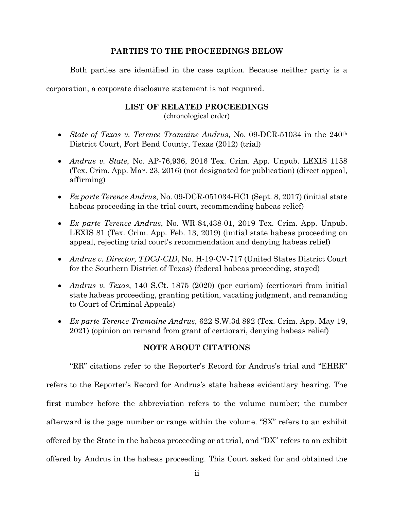## **PARTIES TO THE PROCEEDINGS BELOW**

Both parties are identified in the case caption. Because neither party is a

corporation, a corporate disclosure statement is not required.

### **LIST OF RELATED PROCEEDINGS**

(chronological order)

- *State of Texas v. Terence Tramaine Andrus*, No. 09-DCR-51034 in the 240th District Court, Fort Bend County, Texas (2012) (trial)
- *Andrus v. State*, No. AP-76,936, 2016 Tex. Crim. App. Unpub. LEXIS 1158 (Tex. Crim. App. Mar. 23, 2016) (not designated for publication) (direct appeal, affirming)
- *Ex parte Terence Andrus*, No. 09-DCR-051034-HC1 (Sept. 8, 2017) (initial state habeas proceeding in the trial court, recommending habeas relief)
- *Ex parte Terence Andrus*, No. WR-84,438-01, 2019 Tex. Crim. App. Unpub. LEXIS 81 (Tex. Crim. App. Feb. 13, 2019) (initial state habeas proceeding on appeal, rejecting trial court's recommendation and denying habeas relief)
- *Andrus v. Director, TDCJ-CID*, No. H-19-CV-717 (United States District Court for the Southern District of Texas) (federal habeas proceeding, stayed)
- *Andrus v. Texas*, 140 S.Ct. 1875 (2020) (per curiam) (certiorari from initial state habeas proceeding, granting petition, vacating judgment, and remanding to Court of Criminal Appeals)
- *Ex parte Terence Tramaine Andrus*, 622 S.W.3d 892 (Tex. Crim. App. May 19, 2021) (opinion on remand from grant of certiorari, denying habeas relief)

## **NOTE ABOUT CITATIONS**

"RR" citations refer to the Reporter's Record for Andrus's trial and "EHRR" refers to the Reporter's Record for Andrus's state habeas evidentiary hearing. The first number before the abbreviation refers to the volume number; the number afterward is the page number or range within the volume. "SX" refers to an exhibit offered by the State in the habeas proceeding or at trial, and "DX" refers to an exhibit offered by Andrus in the habeas proceeding. This Court asked for and obtained the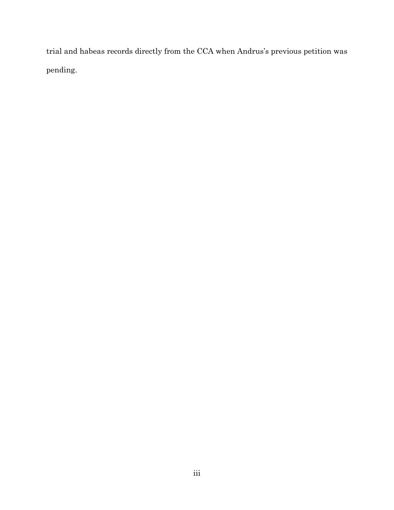trial and habeas records directly from the CCA when Andrus's previous petition was pending.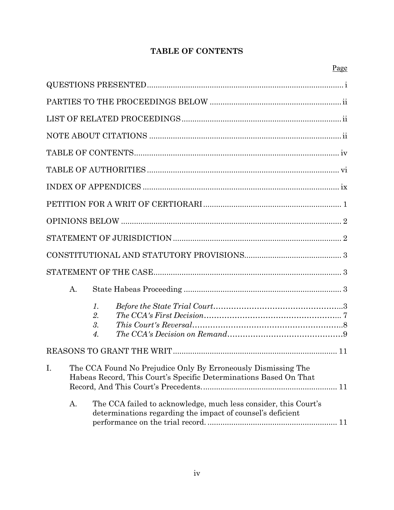## **TABLE OF CONTENTS**

|  |                                                                                                                                       | $\begin{minipage}{.4\linewidth} \textbf{STATEMENT OF JURISDICTION} \end{minipage} \begin{minipage}{.4\linewidth} \textbf{0} \end{minipage} \begin{minipage}{.4\linewidth} \textbf{0} \end{minipage} \begin{minipage}{.4\linewidth} \textbf{0} \end{minipage} \begin{minipage}{.4\linewidth} \textbf{0} \end{minipage} \begin{minipage}{.4\linewidth} \textbf{0} \end{minipage} \begin{minipage}{.4\linewidth} \textbf{0} \end{minipage} \begin{minipage}{.4\linewidth} \textbf{0} \end{minipage} \begin{minipage}{.4\linewidth}$ |  |  |  |
|--|---------------------------------------------------------------------------------------------------------------------------------------|----------------------------------------------------------------------------------------------------------------------------------------------------------------------------------------------------------------------------------------------------------------------------------------------------------------------------------------------------------------------------------------------------------------------------------------------------------------------------------------------------------------------------------|--|--|--|
|  |                                                                                                                                       |                                                                                                                                                                                                                                                                                                                                                                                                                                                                                                                                  |  |  |  |
|  |                                                                                                                                       |                                                                                                                                                                                                                                                                                                                                                                                                                                                                                                                                  |  |  |  |
|  | A.                                                                                                                                    |                                                                                                                                                                                                                                                                                                                                                                                                                                                                                                                                  |  |  |  |
|  |                                                                                                                                       | 1.<br>2.<br>3.<br>4.                                                                                                                                                                                                                                                                                                                                                                                                                                                                                                             |  |  |  |
|  |                                                                                                                                       |                                                                                                                                                                                                                                                                                                                                                                                                                                                                                                                                  |  |  |  |
|  | I. The CCA Found No Prejudice Only By Erroneously Dismissing The<br>Habeas Record, This Court's Specific Determinations Based On That |                                                                                                                                                                                                                                                                                                                                                                                                                                                                                                                                  |  |  |  |
|  | Α.                                                                                                                                    | The CCA failed to acknowledge, much less consider, this Court's<br>determinations regarding the impact of counsel's deficient                                                                                                                                                                                                                                                                                                                                                                                                    |  |  |  |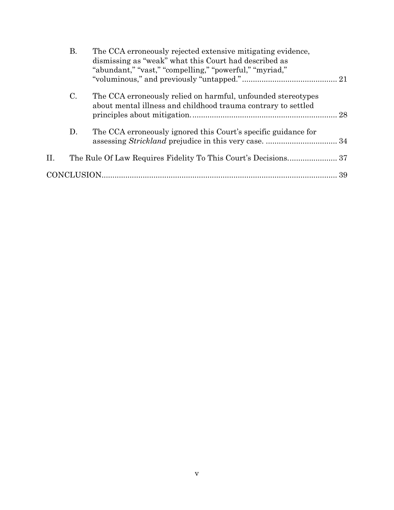|    | Β.             | The CCA erroneously rejected extensive mitigating evidence,<br>dismissing as "weak" what this Court had described as<br>"abundant," "vast," "compelling," "powerful," "myriad," |  |
|----|----------------|---------------------------------------------------------------------------------------------------------------------------------------------------------------------------------|--|
|    |                |                                                                                                                                                                                 |  |
|    | $\mathbf{C}$ . | The CCA erroneously relied on harmful, unfounded stereotypes<br>about mental illness and childhood trauma contrary to settled                                                   |  |
|    | D.             | The CCA erroneously ignored this Court's specific guidance for                                                                                                                  |  |
| H. |                |                                                                                                                                                                                 |  |
|    |                |                                                                                                                                                                                 |  |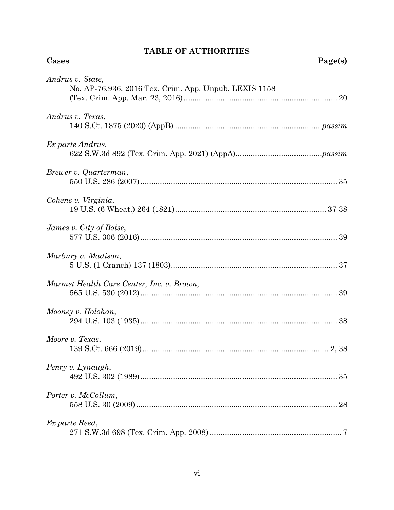## **TABLE OF AUTHORITIES**

| Andrus v. State,<br>No. AP-76,936, 2016 Tex. Crim. App. Unpub. LEXIS 1158 |
|---------------------------------------------------------------------------|
| Andrus v. Texas.                                                          |
| Ex parte Andrus,                                                          |
| Brewer v. Quarterman,                                                     |
| Cohens v. Virginia,                                                       |
| James v. City of Boise,                                                   |
| Marbury v. Madison,                                                       |
| Marmet Health Care Center, Inc. v. Brown,                                 |
| Mooney v. Holohan,                                                        |
| Moore v. Texas,                                                           |
| Penry v. Lynaugh,<br>35                                                   |
| Porter v. McCollum,<br>28                                                 |
| Ex parte Reed,                                                            |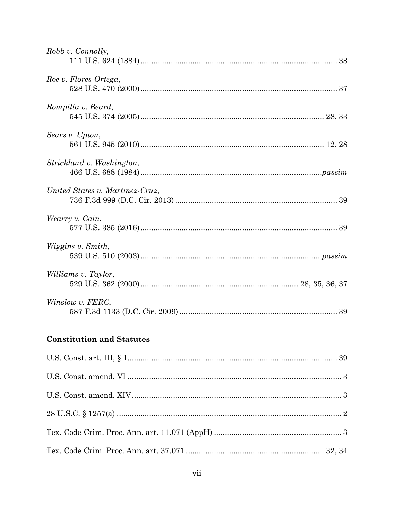| Robb v. Connolly,               |
|---------------------------------|
| Roe v. Flores-Ortega,           |
| Rompilla v. Beard,              |
| Sears v. Upton,                 |
| Strickland v. Washington,       |
| United States v. Martinez-Cruz, |
| Wearry v. Cain,                 |
| Wiggins v. Smith,               |
| Williams v. Taylor,             |
| Winslow v. FERC,                |

## **Constitution and Statutes**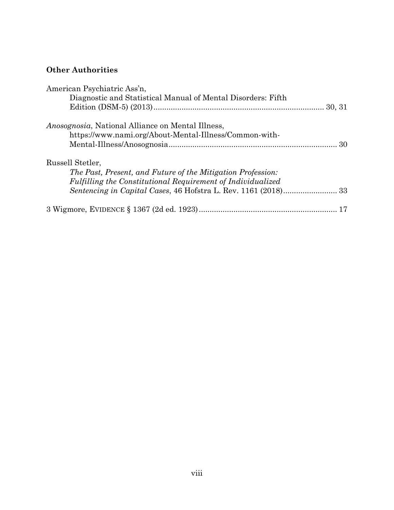## **Other Authorities**

| American Psychiatric Ass'n,                                  |  |
|--------------------------------------------------------------|--|
| Diagnostic and Statistical Manual of Mental Disorders: Fifth |  |
|                                                              |  |
| <i>Anosognosia</i> , National Alliance on Mental Illness,    |  |
| https://www.nami.org/About-Mental-Illness/Common-with-       |  |
|                                                              |  |
| Russell Stetler,                                             |  |
| The Past, Present, and Future of the Mitigation Profession:  |  |
| Fulfilling the Constitutional Requirement of Individualized  |  |
|                                                              |  |
|                                                              |  |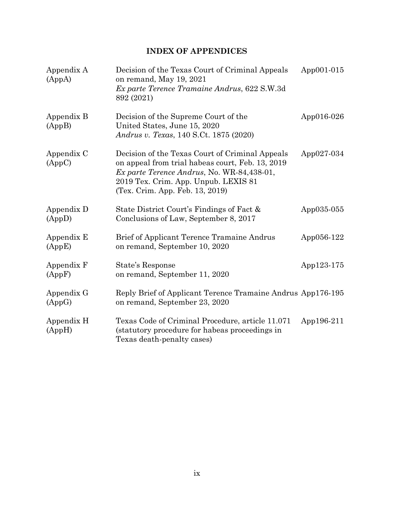## **INDEX OF APPENDICES**

| Appendix A<br>(AppA) | Decision of the Texas Court of Criminal Appeals<br>on remand, May 19, 2021<br>Ex parte Terence Tramaine Andrus, 622 S.W.3d<br>892 (2021)                                                                                     | App001-015 |
|----------------------|------------------------------------------------------------------------------------------------------------------------------------------------------------------------------------------------------------------------------|------------|
| Appendix B<br>(AppB) | Decision of the Supreme Court of the<br>United States, June 15, 2020<br>Andrus v. Texas, 140 S.Ct. 1875 (2020)                                                                                                               | App016-026 |
| Appendix C<br>(AppC) | Decision of the Texas Court of Criminal Appeals<br>on appeal from trial habeas court, Feb. 13, 2019<br>Ex parte Terence Andrus, No. WR-84,438-01,<br>2019 Tex. Crim. App. Unpub. LEXIS 81<br>(Tex. Crim. App. Feb. 13, 2019) | App027-034 |
| Appendix D<br>(AppD) | State District Court's Findings of Fact &<br>Conclusions of Law, September 8, 2017                                                                                                                                           | App035-055 |
| Appendix E<br>(AppE) | Brief of Applicant Terence Tramaine Andrus<br>on remand, September 10, 2020                                                                                                                                                  | App056-122 |
| Appendix F<br>(AppF) | State's Response<br>on remand, September 11, 2020                                                                                                                                                                            | App123-175 |
| Appendix G<br>(AppG) | Reply Brief of Applicant Terence Tramaine Andrus App176-195<br>on remand, September 23, 2020                                                                                                                                 |            |
| Appendix H<br>(AppH) | Texas Code of Criminal Procedure, article 11.071<br>(statutory procedure for habeas proceedings in<br>Texas death-penalty cases)                                                                                             | App196-211 |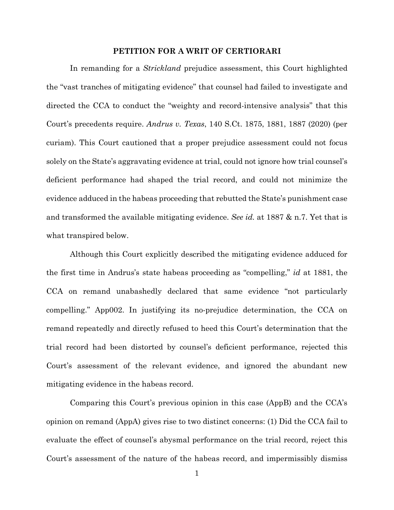#### **PETITION FOR A WRIT OF CERTIORARI**

In remanding for a *Strickland* prejudice assessment, this Court highlighted the "vast tranches of mitigating evidence" that counsel had failed to investigate and directed the CCA to conduct the "weighty and record-intensive analysis" that this Court's precedents require. *Andrus v. Texas*, 140 S.Ct. 1875, 1881, 1887 (2020) (per curiam). This Court cautioned that a proper prejudice assessment could not focus solely on the State's aggravating evidence at trial, could not ignore how trial counsel's deficient performance had shaped the trial record, and could not minimize the evidence adduced in the habeas proceeding that rebutted the State's punishment case and transformed the available mitigating evidence. *See id.* at 1887 & n.7. Yet that is what transpired below.

Although this Court explicitly described the mitigating evidence adduced for the first time in Andrus's state habeas proceeding as "compelling," *id* at 1881, the CCA on remand unabashedly declared that same evidence "not particularly compelling." App002. In justifying its no-prejudice determination, the CCA on remand repeatedly and directly refused to heed this Court's determination that the trial record had been distorted by counsel's deficient performance, rejected this Court's assessment of the relevant evidence, and ignored the abundant new mitigating evidence in the habeas record.

Comparing this Court's previous opinion in this case (AppB) and the CCA's opinion on remand (AppA) gives rise to two distinct concerns: (1) Did the CCA fail to evaluate the effect of counsel's abysmal performance on the trial record, reject this Court's assessment of the nature of the habeas record, and impermissibly dismiss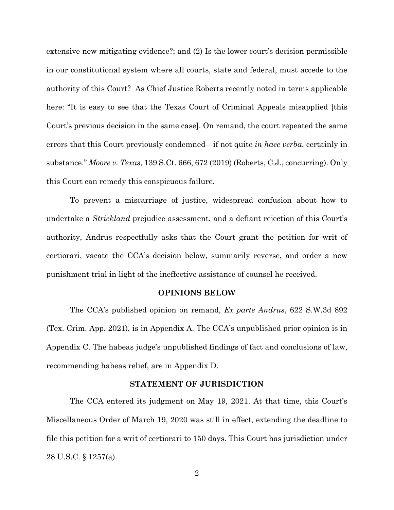extensive new mitigating evidence?; and (2) Is the lower court's decision permissible in our constitutional system where all courts, state and federal, must accede to the authority of this Court? As Chief Justice Roberts recently noted in terms applicable here: "It is easy to see that the Texas Court of Criminal Appeals misapplied [this Court's previous decision in the same case]. On remand, the court repeated the same errors that this Court previously condemned—if not quite *in haec verba*, certainly in substance." *Moore v. Texas*, 139 S.Ct. 666, 672 (2019) (Roberts, C.J., concurring). Only this Court can remedy this conspicuous failure.

To prevent a miscarriage of justice, widespread confusion about how to undertake a *Strickland* prejudice assessment, and a defiant rejection of this Court's authority, Andrus respectfully asks that the Court grant the petition for writ of certiorari, vacate the CCA's decision below, summarily reverse, and order a new punishment trial in light of the ineffective assistance of counsel he received.

#### **OPINIONS BELOW**

The CCA's published opinion on remand, *Ex parte Andrus*, 622 S.W.3d 892 (Tex. Crim. App. 2021), is in Appendix A. The CCA's unpublished prior opinion is in Appendix C. The habeas judge's unpublished findings of fact and conclusions of law, recommending habeas relief, are in Appendix D.

#### **STATEMENT OF JURISDICTION**

The CCA entered its judgment on May 19, 2021. At that time, this Court's Miscellaneous Order of March 19, 2020 was still in effect, extending the deadline to file this petition for a writ of certiorari to 150 days. This Court has jurisdiction under 28 U.S.C. § 1257(a).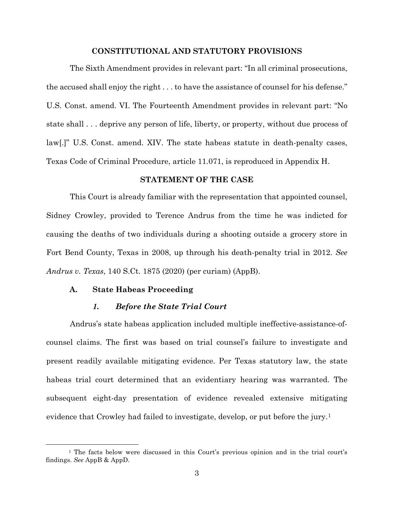### **CONSTITUTIONAL AND STATUTORY PROVISIONS**

The Sixth Amendment provides in relevant part: "In all criminal prosecutions, the accused shall enjoy the right . . . to have the assistance of counsel for his defense." U.S. Const. amend. VI. The Fourteenth Amendment provides in relevant part: "No state shall . . . deprive any person of life, liberty, or property, without due process of law[.]" U.S. Const. amend. XIV. The state habeas statute in death-penalty cases, Texas Code of Criminal Procedure, article 11.071, is reproduced in Appendix H.

#### **STATEMENT OF THE CASE**

This Court is already familiar with the representation that appointed counsel, Sidney Crowley, provided to Terence Andrus from the time he was indicted for causing the deaths of two individuals during a shooting outside a grocery store in Fort Bend County, Texas in 2008, up through his death-penalty trial in 2012. *See Andrus v. Texas*, 140 S.Ct. 1875 (2020) (per curiam) (AppB).

#### **A. State Habeas Proceeding**

#### *1. Before the State Trial Court*

Andrus's state habeas application included multiple ineffective-assistance-ofcounsel claims. The first was based on trial counsel's failure to investigate and present readily available mitigating evidence. Per Texas statutory law, the state habeas trial court determined that an evidentiary hearing was warranted. The subsequent eight-day presentation of evidence revealed extensive mitigating evidence that Crowley had failed to investigate, develop, or put before the jury.[1](#page-12-0)

<span id="page-12-0"></span><sup>1</sup> The facts below were discussed in this Court's previous opinion and in the trial court's findings. *See* AppB & AppD.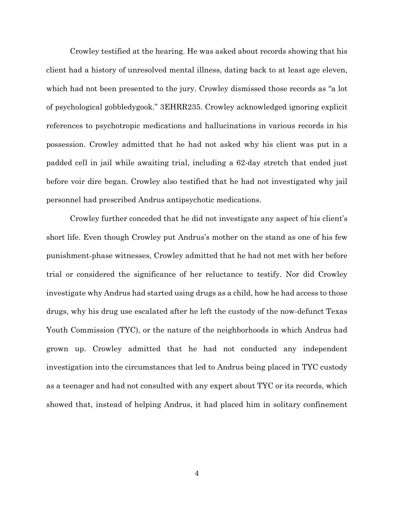Crowley testified at the hearing. He was asked about records showing that his client had a history of unresolved mental illness, dating back to at least age eleven, which had not been presented to the jury. Crowley dismissed those records as "a lot of psychological gobbledygook." 3EHRR235. Crowley acknowledged ignoring explicit references to psychotropic medications and hallucinations in various records in his possession. Crowley admitted that he had not asked why his client was put in a padded cell in jail while awaiting trial, including a 62-day stretch that ended just before voir dire began. Crowley also testified that he had not investigated why jail personnel had prescribed Andrus antipsychotic medications.

Crowley further conceded that he did not investigate any aspect of his client's short life. Even though Crowley put Andrus's mother on the stand as one of his few punishment-phase witnesses, Crowley admitted that he had not met with her before trial or considered the significance of her reluctance to testify. Nor did Crowley investigate why Andrus had started using drugs as a child, how he had access to those drugs, why his drug use escalated after he left the custody of the now-defunct Texas Youth Commission (TYC), or the nature of the neighborhoods in which Andrus had grown up. Crowley admitted that he had not conducted any independent investigation into the circumstances that led to Andrus being placed in TYC custody as a teenager and had not consulted with any expert about TYC or its records, which showed that, instead of helping Andrus, it had placed him in solitary confinement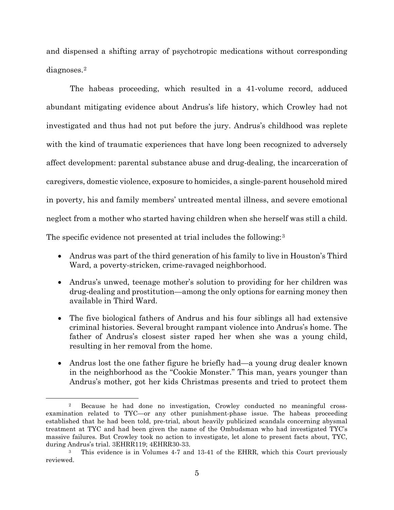and dispensed a shifting array of psychotropic medications without corresponding diagnoses.[2](#page-14-0)

The habeas proceeding, which resulted in a 41-volume record, adduced abundant mitigating evidence about Andrus's life history, which Crowley had not investigated and thus had not put before the jury. Andrus's childhood was replete with the kind of traumatic experiences that have long been recognized to adversely affect development: parental substance abuse and drug-dealing, the incarceration of caregivers, domestic violence, exposure to homicides, a single-parent household mired in poverty, his and family members' untreated mental illness, and severe emotional neglect from a mother who started having children when she herself was still a child. The specific evidence not presented at trial includes the following:[3](#page-14-1)

- Andrus was part of the third generation of his family to live in Houston's Third Ward, a poverty-stricken, crime-ravaged neighborhood.
- Andrus's unwed, teenage mother's solution to providing for her children was drug-dealing and prostitution—among the only options for earning money then available in Third Ward.
- The five biological fathers of Andrus and his four siblings all had extensive criminal histories. Several brought rampant violence into Andrus's home. The father of Andrus's closest sister raped her when she was a young child, resulting in her removal from the home.
- Andrus lost the one father figure he briefly had—a young drug dealer known in the neighborhood as the "Cookie Monster." This man, years younger than Andrus's mother, got her kids Christmas presents and tried to protect them

<span id="page-14-0"></span><sup>2</sup> Because he had done no investigation, Crowley conducted no meaningful crossexamination related to TYC—or any other punishment-phase issue. The habeas proceeding established that he had been told, pre-trial, about heavily publicized scandals concerning abysmal treatment at TYC and had been given the name of the Ombudsman who had investigated TYC's massive failures. But Crowley took no action to investigate, let alone to present facts about, TYC, during Andrus's trial. 3EHRR119; 4EHRR30-33.

<span id="page-14-1"></span><sup>3</sup> This evidence is in Volumes 4-7 and 13-41 of the EHRR, which this Court previously reviewed.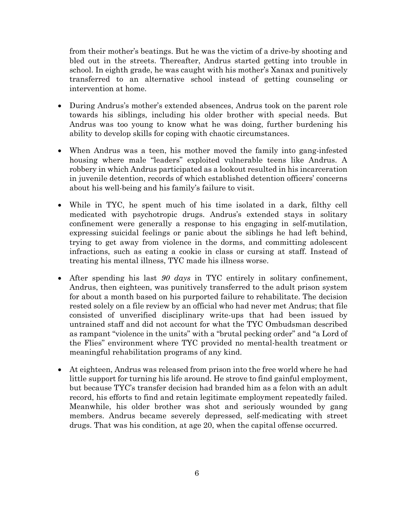from their mother's beatings. But he was the victim of a drive-by shooting and bled out in the streets. Thereafter, Andrus started getting into trouble in school. In eighth grade, he was caught with his mother's Xanax and punitively transferred to an alternative school instead of getting counseling or intervention at home.

- During Andrus's mother's extended absences, Andrus took on the parent role towards his siblings, including his older brother with special needs. But Andrus was too young to know what he was doing, further burdening his ability to develop skills for coping with chaotic circumstances.
- When Andrus was a teen, his mother moved the family into gang-infested housing where male "leaders" exploited vulnerable teens like Andrus. A robbery in which Andrus participated as a lookout resulted in his incarceration in juvenile detention, records of which established detention officers' concerns about his well-being and his family's failure to visit.
- While in TYC, he spent much of his time isolated in a dark, filthy cell medicated with psychotropic drugs. Andrus's extended stays in solitary confinement were generally a response to his engaging in self-mutilation, expressing suicidal feelings or panic about the siblings he had left behind, trying to get away from violence in the dorms, and committing adolescent infractions, such as eating a cookie in class or cursing at staff. Instead of treating his mental illness, TYC made his illness worse.
- After spending his last *90 days* in TYC entirely in solitary confinement, Andrus, then eighteen, was punitively transferred to the adult prison system for about a month based on his purported failure to rehabilitate. The decision rested solely on a file review by an official who had never met Andrus; that file consisted of unverified disciplinary write-ups that had been issued by untrained staff and did not account for what the TYC Ombudsman described as rampant "violence in the units" with a "brutal pecking order" and "a Lord of the Flies" environment where TYC provided no mental-health treatment or meaningful rehabilitation programs of any kind.
- At eighteen, Andrus was released from prison into the free world where he had little support for turning his life around. He strove to find gainful employment, but because TYC's transfer decision had branded him as a felon with an adult record, his efforts to find and retain legitimate employment repeatedly failed. Meanwhile, his older brother was shot and seriously wounded by gang members. Andrus became severely depressed, self-medicating with street drugs. That was his condition, at age 20, when the capital offense occurred.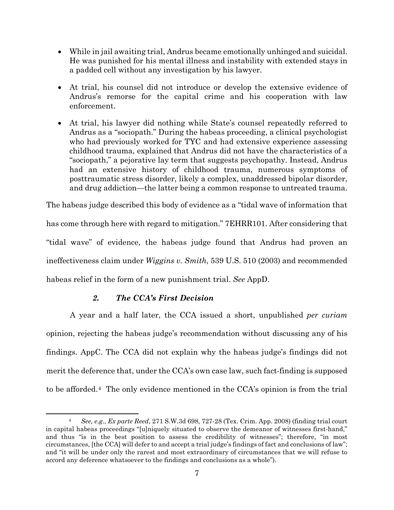- While in jail awaiting trial, Andrus became emotionally unhinged and suicidal. He was punished for his mental illness and instability with extended stays in a padded cell without any investigation by his lawyer.
- At trial, his counsel did not introduce or develop the extensive evidence of Andrus's remorse for the capital crime and his cooperation with law enforcement.
- At trial, his lawyer did nothing while State's counsel repeatedly referred to Andrus as a "sociopath." During the habeas proceeding, a clinical psychologist who had previously worked for TYC and had extensive experience assessing childhood trauma, explained that Andrus did not have the characteristics of a "sociopath," a pejorative lay term that suggests psychopathy. Instead, Andrus had an extensive history of childhood trauma, numerous symptoms of posttraumatic stress disorder, likely a complex, unaddressed bipolar disorder, and drug addiction—the latter being a common response to untreated trauma.

The habeas judge described this body of evidence as a "tidal wave of information that has come through here with regard to mitigation." 7EHRR101. After considering that "tidal wave" of evidence, the habeas judge found that Andrus had proven an ineffectiveness claim under *Wiggins v. Smith*, 539 U.S. 510 (2003) and recommended habeas relief in the form of a new punishment trial. *See* AppD.

## *2. The CCA's First Decision*

A year and a half later, the CCA issued a short, unpublished *per curiam* opinion, rejecting the habeas judge's recommendation without discussing any of his findings. AppC. The CCA did not explain why the habeas judge's findings did not merit the deference that, under the CCA's own case law, such fact-finding is supposed to be afforded.[4](#page-16-0) The only evidence mentioned in the CCA's opinion is from the trial

<span id="page-16-0"></span><sup>4</sup> *See, e.g.*, *Ex parte Reed*, 271 S.W.3d 698, 727-28 (Tex. Crim. App. 2008) (finding trial court in capital habeas proceedings "[u]niquely situated to observe the demeanor of witnesses first-hand," and thus "is in the best position to assess the credibility of witnesses"; therefore, "in most circumstances, [the CCA] will defer to and accept a trial judge's findings of fact and conclusions of law"; and "it will be under only the rarest and most extraordinary of circumstances that we will refuse to accord any deference whatsoever to the findings and conclusions as a whole").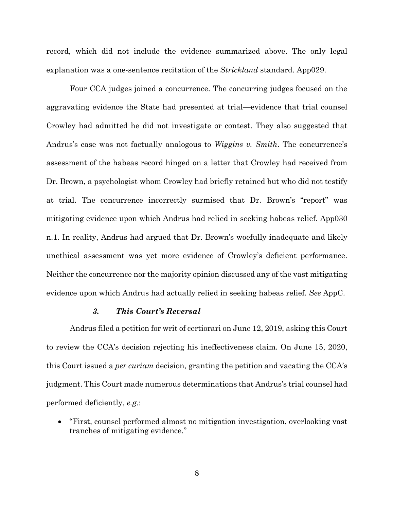record, which did not include the evidence summarized above. The only legal explanation was a one-sentence recitation of the *Strickland* standard. App029.

Four CCA judges joined a concurrence. The concurring judges focused on the aggravating evidence the State had presented at trial—evidence that trial counsel Crowley had admitted he did not investigate or contest. They also suggested that Andrus's case was not factually analogous to *Wiggins v. Smith*. The concurrence's assessment of the habeas record hinged on a letter that Crowley had received from Dr. Brown, a psychologist whom Crowley had briefly retained but who did not testify at trial. The concurrence incorrectly surmised that Dr. Brown's "report" was mitigating evidence upon which Andrus had relied in seeking habeas relief. App030 n.1. In reality, Andrus had argued that Dr. Brown's woefully inadequate and likely unethical assessment was yet more evidence of Crowley's deficient performance. Neither the concurrence nor the majority opinion discussed any of the vast mitigating evidence upon which Andrus had actually relied in seeking habeas relief. *See* AppC.

#### *3. This Court's Reversal*

Andrus filed a petition for writ of certiorari on June 12, 2019, asking this Court to review the CCA's decision rejecting his ineffectiveness claim. On June 15, 2020, this Court issued a *per curiam* decision, granting the petition and vacating the CCA's judgment. This Court made numerous determinations that Andrus's trial counsel had performed deficiently, *e.g.*:

• "First, counsel performed almost no mitigation investigation, overlooking vast tranches of mitigating evidence."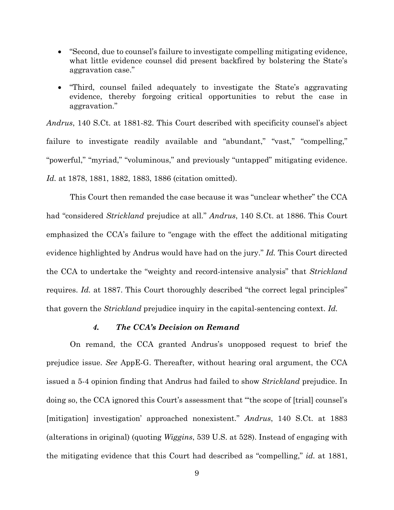- "Second, due to counsel's failure to investigate compelling mitigating evidence, what little evidence counsel did present backfired by bolstering the State's aggravation case."
- "Third, counsel failed adequately to investigate the State's aggravating evidence, thereby forgoing critical opportunities to rebut the case in aggravation."

*Andrus*, 140 S.Ct. at 1881-82. This Court described with specificity counsel's abject failure to investigate readily available and "abundant," "vast," "compelling," "powerful," "myriad," "voluminous," and previously "untapped" mitigating evidence. *Id.* at 1878, 1881, 1882, 1883, 1886 (citation omitted).

This Court then remanded the case because it was "unclear whether" the CCA had "considered *Strickland* prejudice at all." *Andrus*, 140 S.Ct. at 1886. This Court emphasized the CCA's failure to "engage with the effect the additional mitigating evidence highlighted by Andrus would have had on the jury." *Id.* This Court directed the CCA to undertake the "weighty and record-intensive analysis" that *Strickland* requires. *Id.* at 1887. This Court thoroughly described "the correct legal principles" that govern the *Strickland* prejudice inquiry in the capital-sentencing context. *Id.*

#### *4. The CCA's Decision on Remand*

On remand, the CCA granted Andrus's unopposed request to brief the prejudice issue. *See* AppE-G. Thereafter, without hearing oral argument, the CCA issued a 5-4 opinion finding that Andrus had failed to show *Strickland* prejudice. In doing so, the CCA ignored this Court's assessment that "'the scope of [trial] counsel's [mitigation] investigation' approached nonexistent." *Andrus*, 140 S.Ct. at 1883 (alterations in original) (quoting *Wiggins*, 539 U.S. at 528). Instead of engaging with the mitigating evidence that this Court had described as "compelling," *id.* at 1881,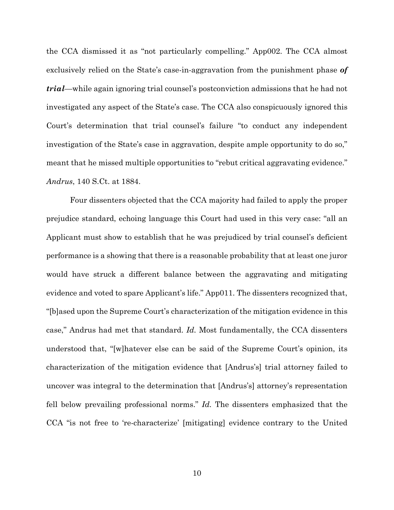the CCA dismissed it as "not particularly compelling." App002. The CCA almost exclusively relied on the State's case-in-aggravation from the punishment phase *of trial*—while again ignoring trial counsel's postconviction admissions that he had not investigated any aspect of the State's case. The CCA also conspicuously ignored this Court's determination that trial counsel's failure "to conduct any independent investigation of the State's case in aggravation, despite ample opportunity to do so," meant that he missed multiple opportunities to "rebut critical aggravating evidence." *Andrus*, 140 S.Ct. at 1884.

Four dissenters objected that the CCA majority had failed to apply the proper prejudice standard, echoing language this Court had used in this very case: "all an Applicant must show to establish that he was prejudiced by trial counsel's deficient performance is a showing that there is a reasonable probability that at least one juror would have struck a different balance between the aggravating and mitigating evidence and voted to spare Applicant's life." App011. The dissenters recognized that, "[b]ased upon the Supreme Court's characterization of the mitigation evidence in this case," Andrus had met that standard. *Id.* Most fundamentally, the CCA dissenters understood that, "[w]hatever else can be said of the Supreme Court's opinion, its characterization of the mitigation evidence that [Andrus's] trial attorney failed to uncover was integral to the determination that [Andrus's] attorney's representation fell below prevailing professional norms." *Id.* The dissenters emphasized that the CCA "is not free to 're-characterize' [mitigating] evidence contrary to the United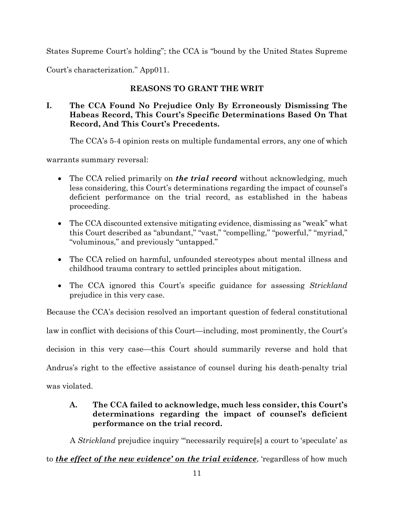States Supreme Court's holding"; the CCA is "bound by the United States Supreme

Court's characterization." App011.

## **REASONS TO GRANT THE WRIT**

## **I. The CCA Found No Prejudice Only By Erroneously Dismissing The Habeas Record, This Court's Specific Determinations Based On That Record, And This Court's Precedents.**

The CCA's 5-4 opinion rests on multiple fundamental errors, any one of which

warrants summary reversal:

- The CCA relied primarily on *the trial record* without acknowledging, much less considering, this Court's determinations regarding the impact of counsel's deficient performance on the trial record, as established in the habeas proceeding.
- The CCA discounted extensive mitigating evidence, dismissing as "weak" what this Court described as "abundant," "vast," "compelling," "powerful," "myriad," "voluminous," and previously "untapped."
- The CCA relied on harmful, unfounded stereotypes about mental illness and childhood trauma contrary to settled principles about mitigation.
- The CCA ignored this Court's specific guidance for assessing *Strickland* prejudice in this very case.

Because the CCA's decision resolved an important question of federal constitutional

law in conflict with decisions of this Court—including, most prominently, the Court's

decision in this very case—this Court should summarily reverse and hold that

Andrus's right to the effective assistance of counsel during his death-penalty trial

was violated.

## **A. The CCA failed to acknowledge, much less consider, this Court's determinations regarding the impact of counsel's deficient performance on the trial record.**

A *Strickland* prejudice inquiry "'necessarily require[s] a court to 'speculate' as

to *the effect of the new evidence' on the trial evidence*, 'regardless of how much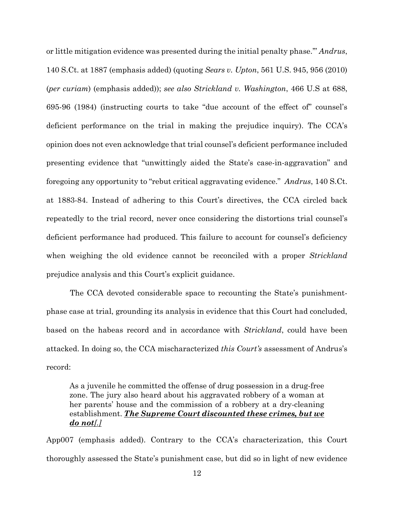or little mitigation evidence was presented during the initial penalty phase.'" *Andrus*, 140 S.Ct. at 1887 (emphasis added) (quoting *Sears v. Upton*, 561 U.S. 945, 956 (2010) (*per curiam*) (emphasis added)); *see also Strickland v. Washington*, 466 U.S at 688, 695-96 (1984) (instructing courts to take "due account of the effect of" counsel's deficient performance on the trial in making the prejudice inquiry). The CCA's opinion does not even acknowledge that trial counsel's deficient performance included presenting evidence that "unwittingly aided the State's case-in-aggravation" and foregoing any opportunity to "rebut critical aggravating evidence." *Andrus*, 140 S.Ct. at 1883-84. Instead of adhering to this Court's directives, the CCA circled back repeatedly to the trial record, never once considering the distortions trial counsel's deficient performance had produced. This failure to account for counsel's deficiency when weighing the old evidence cannot be reconciled with a proper *Strickland*  prejudice analysis and this Court's explicit guidance.

The CCA devoted considerable space to recounting the State's punishmentphase case at trial, grounding its analysis in evidence that this Court had concluded, based on the habeas record and in accordance with *Strickland*, could have been attacked. In doing so, the CCA mischaracterized *this Court's* assessment of Andrus's record:

As a juvenile he committed the offense of drug possession in a drug-free zone. The jury also heard about his aggravated robbery of a woman at her parents' house and the commission of a robbery at a dry-cleaning establishment. *The Supreme Court discounted these crimes, but we do not[.]*

App007 (emphasis added). Contrary to the CCA's characterization, this Court thoroughly assessed the State's punishment case, but did so in light of new evidence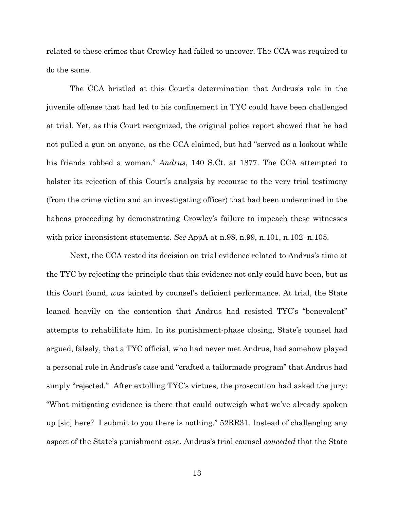related to these crimes that Crowley had failed to uncover. The CCA was required to do the same.

The CCA bristled at this Court's determination that Andrus's role in the juvenile offense that had led to his confinement in TYC could have been challenged at trial. Yet, as this Court recognized, the original police report showed that he had not pulled a gun on anyone, as the CCA claimed, but had "served as a lookout while his friends robbed a woman." *Andrus*, 140 S.Ct. at 1877. The CCA attempted to bolster its rejection of this Court's analysis by recourse to the very trial testimony (from the crime victim and an investigating officer) that had been undermined in the habeas proceeding by demonstrating Crowley's failure to impeach these witnesses with prior inconsistent statements. *See* AppA at n.98, n.99, n.101, n.102–n.105.

Next, the CCA rested its decision on trial evidence related to Andrus's time at the TYC by rejecting the principle that this evidence not only could have been, but as this Court found, *was* tainted by counsel's deficient performance. At trial, the State leaned heavily on the contention that Andrus had resisted TYC's "benevolent" attempts to rehabilitate him. In its punishment-phase closing, State's counsel had argued, falsely, that a TYC official, who had never met Andrus, had somehow played a personal role in Andrus's case and "crafted a tailormade program" that Andrus had simply "rejected." After extolling TYC's virtues, the prosecution had asked the jury: "What mitigating evidence is there that could outweigh what we've already spoken up [sic] here? I submit to you there is nothing." 52RR31. Instead of challenging any aspect of the State's punishment case, Andrus's trial counsel *conceded* that the State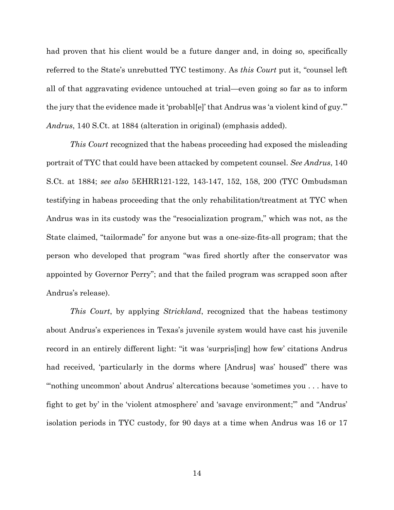had proven that his client would be a future danger and, in doing so, specifically referred to the State's unrebutted TYC testimony. As *this Court* put it, "counsel left all of that aggravating evidence untouched at trial—even going so far as to inform the jury that the evidence made it 'probabl[e]' that Andrus was 'a violent kind of guy.'" *Andrus*, 140 S.Ct. at 1884 (alteration in original) (emphasis added).

*This Court* recognized that the habeas proceeding had exposed the misleading portrait of TYC that could have been attacked by competent counsel. *See Andrus*, 140 S.Ct. at 1884; *see also* 5EHRR121-122, 143-147, 152, 158, 200 (TYC Ombudsman testifying in habeas proceeding that the only rehabilitation/treatment at TYC when Andrus was in its custody was the "resocialization program," which was not, as the State claimed, "tailormade" for anyone but was a one-size-fits-all program; that the person who developed that program "was fired shortly after the conservator was appointed by Governor Perry"; and that the failed program was scrapped soon after Andrus's release).

*This Court*, by applying *Strickland*, recognized that the habeas testimony about Andrus's experiences in Texas's juvenile system would have cast his juvenile record in an entirely different light: "it was 'surpris[ing] how few' citations Andrus had received, 'particularly in the dorms where [Andrus] was' housed" there was "'nothing uncommon' about Andrus' altercations because 'sometimes you . . . have to fight to get by' in the 'violent atmosphere' and 'savage environment;'" and "Andrus' isolation periods in TYC custody, for 90 days at a time when Andrus was 16 or 17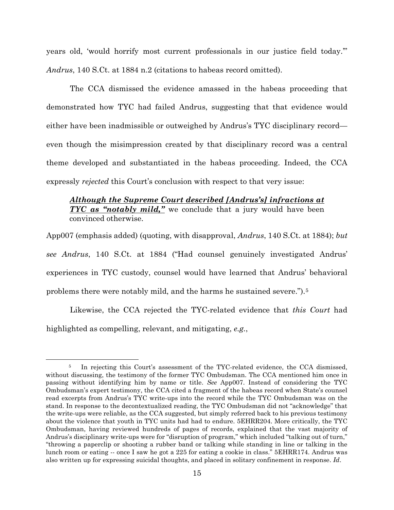years old, 'would horrify most current professionals in our justice field today.'" *Andrus*, 140 S.Ct. at 1884 n.2 (citations to habeas record omitted).

The CCA dismissed the evidence amassed in the habeas proceeding that demonstrated how TYC had failed Andrus, suggesting that that evidence would either have been inadmissible or outweighed by Andrus's TYC disciplinary record even though the misimpression created by that disciplinary record was a central theme developed and substantiated in the habeas proceeding. Indeed, the CCA expressly *rejected* this Court's conclusion with respect to that very issue:

## *Although the Supreme Court described [Andrus's] infractions at TYC as "notably mild,"* we conclude that a jury would have been convinced otherwise.

App007 (emphasis added) (quoting, with disapproval, *Andrus*, 140 S.Ct. at 1884); *but see Andrus*, 140 S.Ct. at 1884 ("Had counsel genuinely investigated Andrus' experiences in TYC custody, counsel would have learned that Andrus' behavioral problems there were notably mild, and the harms he sustained severe.").[5](#page-24-0)

Likewise, the CCA rejected the TYC-related evidence that *this Court* had highlighted as compelling, relevant, and mitigating, *e.g.*,

<span id="page-24-0"></span><sup>&</sup>lt;sup>5</sup> In rejecting this Court's assessment of the TYC-related evidence, the CCA dismissed, without discussing, the testimony of the former TYC Ombudsman. The CCA mentioned him once in passing without identifying him by name or title. *See* App007. Instead of considering the TYC Ombudsman's expert testimony, the CCA cited a fragment of the habeas record when State's counsel read excerpts from Andrus's TYC write-ups into the record while the TYC Ombudsman was on the stand. In response to the decontextualized reading, the TYC Ombudsman did not "acknowledge" that the write-ups were reliable, as the CCA suggested, but simply referred back to his previous testimony about the violence that youth in TYC units had had to endure. 5EHRR204. More critically, the TYC Ombudsman, having reviewed hundreds of pages of records, explained that the vast majority of Andrus's disciplinary write-ups were for "disruption of program," which included "talking out of turn," "throwing a paperclip or shooting a rubber band or talking while standing in line or talking in the lunch room or eating -- once I saw he got a 225 for eating a cookie in class." 5EHRR174. Andrus was also written up for expressing suicidal thoughts, and placed in solitary confinement in response. *Id*.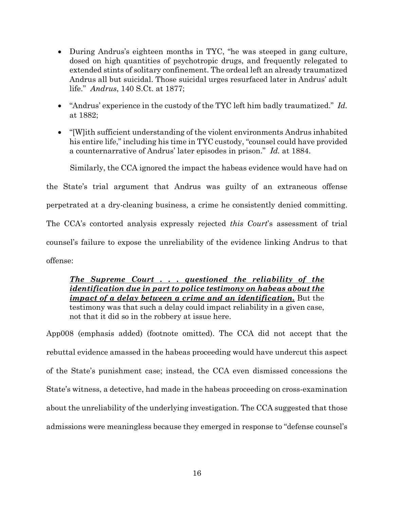- During Andrus's eighteen months in TYC, "he was steeped in gang culture, dosed on high quantities of psychotropic drugs, and frequently relegated to extended stints of solitary confinement. The ordeal left an already traumatized Andrus all but suicidal. Those suicidal urges resurfaced later in Andrus' adult life." *Andrus*, 140 S.Ct. at 1877;
- "Andrus' experience in the custody of the TYC left him badly traumatized." *Id.*  at 1882;
- "[W]ith sufficient understanding of the violent environments Andrus inhabited his entire life," including his time in TYC custody, "counsel could have provided a counternarrative of Andrus' later episodes in prison." *Id.* at 1884.

Similarly, the CCA ignored the impact the habeas evidence would have had on

the State's trial argument that Andrus was guilty of an extraneous offense perpetrated at a dry-cleaning business, a crime he consistently denied committing.

The CCA's contorted analysis expressly rejected *this Court*'s assessment of trial

counsel's failure to expose the unreliability of the evidence linking Andrus to that

offense:

## *The Supreme Court . . . questioned the reliability of the identification due in part to police testimony on habeas about the impact of a delay between a crime and an identification.* But the testimony was that such a delay could impact reliability in a given case, not that it did so in the robbery at issue here.

App008 (emphasis added) (footnote omitted). The CCA did not accept that the rebuttal evidence amassed in the habeas proceeding would have undercut this aspect of the State's punishment case; instead, the CCA even dismissed concessions the State's witness, a detective, had made in the habeas proceeding on cross-examination about the unreliability of the underlying investigation. The CCA suggested that those admissions were meaningless because they emerged in response to "defense counsel's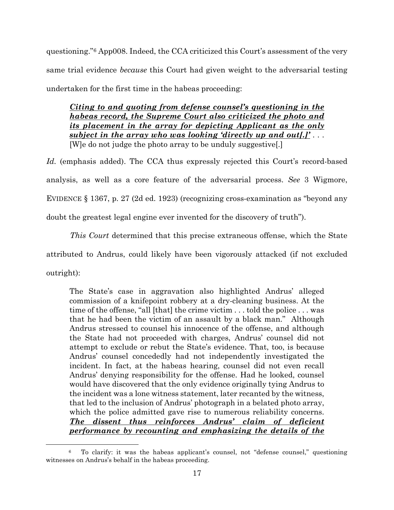questioning.["6](#page-26-0) App008. Indeed, the CCA criticized this Court's assessment of the very same trial evidence *because* this Court had given weight to the adversarial testing undertaken for the first time in the habeas proceeding:

*Citing to and quoting from defense counsel's questioning in the habeas record, the Supreme Court also criticized the photo and its placement in the array for depicting Applicant as the only subject in the array who was looking 'directly up and out[.]'* . . . [W]e do not judge the photo array to be unduly suggestive[.]

Id. (emphasis added). The CCA thus expressly rejected this Court's record-based analysis, as well as a core feature of the adversarial process. *See* 3 Wigmore, EVIDENCE § 1367, p. 27 (2d ed. 1923) (recognizing cross-examination as "beyond any doubt the greatest legal engine ever invented for the discovery of truth").

*This Court* determined that this precise extraneous offense, which the State attributed to Andrus, could likely have been vigorously attacked (if not excluded outright):

The State's case in aggravation also highlighted Andrus' alleged commission of a knifepoint robbery at a dry-cleaning business. At the time of the offense, "all [that] the crime victim . . . told the police . . . was that he had been the victim of an assault by a black man." Although Andrus stressed to counsel his innocence of the offense, and although the State had not proceeded with charges, Andrus' counsel did not attempt to exclude or rebut the State's evidence. That, too, is because Andrus' counsel concededly had not independently investigated the incident. In fact, at the habeas hearing, counsel did not even recall Andrus' denying responsibility for the offense. Had he looked, counsel would have discovered that the only evidence originally tying Andrus to the incident was a lone witness statement, later recanted by the witness, that led to the inclusion of Andrus' photograph in a belated photo array, which the police admitted gave rise to numerous reliability concerns. *The dissent thus reinforces Andrus' claim of deficient performance by recounting and emphasizing the details of the* 

<span id="page-26-0"></span><sup>6</sup> To clarify: it was the habeas applicant's counsel, not "defense counsel," questioning witnesses on Andrus's behalf in the habeas proceeding.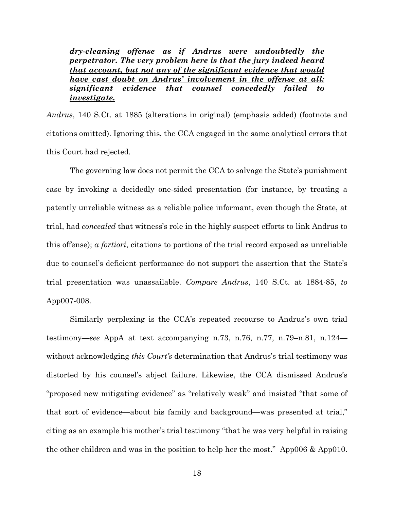*dry-cleaning offense as if Andrus were undoubtedly the perpetrator. The very problem here is that the jury indeed heard that account, but not any of the significant evidence that would have cast doubt on Andrus' involvement in the offense at all: significant evidence that counsel concededly failed to investigate.*

*Andrus*, 140 S.Ct. at 1885 (alterations in original) (emphasis added) (footnote and citations omitted). Ignoring this, the CCA engaged in the same analytical errors that this Court had rejected.

The governing law does not permit the CCA to salvage the State's punishment case by invoking a decidedly one-sided presentation (for instance, by treating a patently unreliable witness as a reliable police informant, even though the State, at trial, had *concealed* that witness's role in the highly suspect efforts to link Andrus to this offense); *a fortiori*, citations to portions of the trial record exposed as unreliable due to counsel's deficient performance do not support the assertion that the State's trial presentation was unassailable. *Compare Andrus*, 140 S.Ct. at 1884-85, *to* App007-008.

Similarly perplexing is the CCA's repeated recourse to Andrus's own trial testimony—*see* AppA at text accompanying n.73, n.76, n.77, n.79–n.81, n.124 without acknowledging *this Court's* determination that Andrus's trial testimony was distorted by his counsel's abject failure. Likewise, the CCA dismissed Andrus's "proposed new mitigating evidence" as "relatively weak" and insisted "that some of that sort of evidence—about his family and background—was presented at trial," citing as an example his mother's trial testimony "that he was very helpful in raising the other children and was in the position to help her the most." App006 & App010.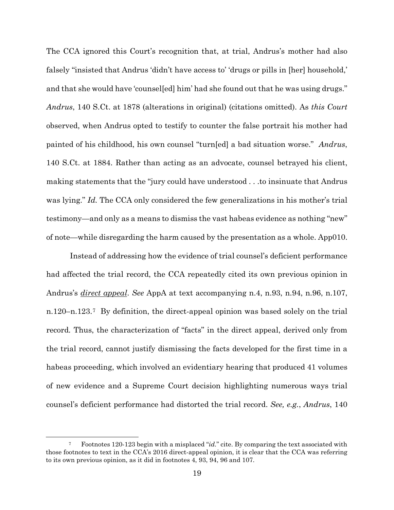The CCA ignored this Court's recognition that, at trial, Andrus's mother had also falsely "insisted that Andrus 'didn't have access to' 'drugs or pills in [her] household,' and that she would have 'counsel[ed] him' had she found out that he was using drugs." *Andrus*, 140 S.Ct. at 1878 (alterations in original) (citations omitted). As *this Court* observed, when Andrus opted to testify to counter the false portrait his mother had painted of his childhood, his own counsel "turn[ed] a bad situation worse." *Andrus*, 140 S.Ct. at 1884. Rather than acting as an advocate, counsel betrayed his client, making statements that the "jury could have understood . . .to insinuate that Andrus was lying." *Id.* The CCA only considered the few generalizations in his mother's trial testimony—and only as a means to dismiss the vast habeas evidence as nothing "new" of note—while disregarding the harm caused by the presentation as a whole. App010.

Instead of addressing how the evidence of trial counsel's deficient performance had affected the trial record, the CCA repeatedly cited its own previous opinion in Andrus's *direct appeal*. *See* AppA at text accompanying n.4, n.93, n.94, n.96, n.107, n.120–n.123.[7](#page-28-0) By definition, the direct-appeal opinion was based solely on the trial record*.* Thus, the characterization of "facts" in the direct appeal, derived only from the trial record, cannot justify dismissing the facts developed for the first time in a habeas proceeding, which involved an evidentiary hearing that produced 41 volumes of new evidence and a Supreme Court decision highlighting numerous ways trial counsel's deficient performance had distorted the trial record. *See, e.g.*, *Andrus*, 140

<span id="page-28-0"></span><sup>7</sup> Footnotes 120-123 begin with a misplaced "*id.*" cite. By comparing the text associated with those footnotes to text in the CCA's 2016 direct-appeal opinion, it is clear that the CCA was referring to its own previous opinion, as it did in footnotes 4, 93, 94, 96 and 107.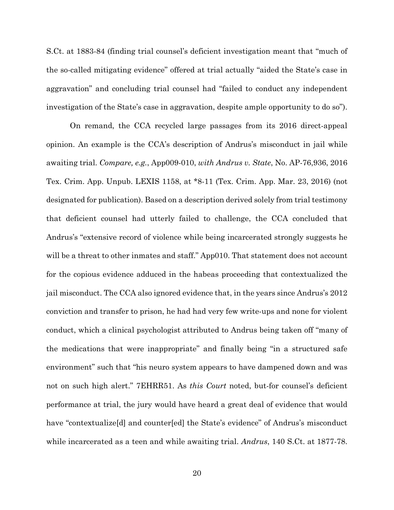S.Ct. at 1883-84 (finding trial counsel's deficient investigation meant that "much of the so-called mitigating evidence" offered at trial actually "aided the State's case in aggravation" and concluding trial counsel had "failed to conduct any independent investigation of the State's case in aggravation, despite ample opportunity to do so").

On remand, the CCA recycled large passages from its 2016 direct-appeal opinion. An example is the CCA's description of Andrus's misconduct in jail while awaiting trial. *Compare, e.g.*, App009-010, *with Andrus v. State*, No. AP-76,936, 2016 Tex. Crim. App. Unpub. LEXIS 1158, at \*8-11 (Tex. Crim. App. Mar. 23, 2016) (not designated for publication). Based on a description derived solely from trial testimony that deficient counsel had utterly failed to challenge, the CCA concluded that Andrus's "extensive record of violence while being incarcerated strongly suggests he will be a threat to other inmates and staff." App010. That statement does not account for the copious evidence adduced in the habeas proceeding that contextualized the jail misconduct. The CCA also ignored evidence that, in the years since Andrus's 2012 conviction and transfer to prison, he had had very few write-ups and none for violent conduct, which a clinical psychologist attributed to Andrus being taken off "many of the medications that were inappropriate" and finally being "in a structured safe environment" such that "his neuro system appears to have dampened down and was not on such high alert." 7EHRR51. As *this Court* noted, but-for counsel's deficient performance at trial, the jury would have heard a great deal of evidence that would have "contextualize<sup>[d]</sup> and counter<sup>[ed]</sup> the State's evidence" of Andrus's misconduct while incarcerated as a teen and while awaiting trial. *Andrus*, 140 S.Ct. at 1877-78.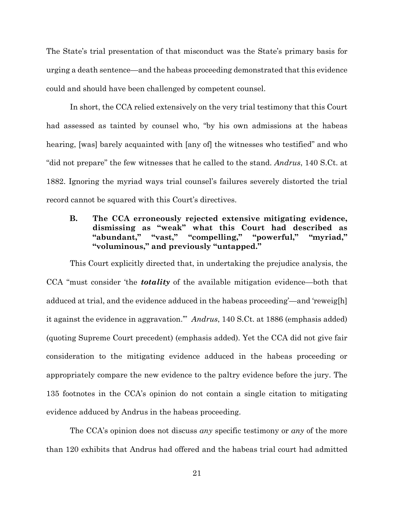The State's trial presentation of that misconduct was the State's primary basis for urging a death sentence—and the habeas proceeding demonstrated that this evidence could and should have been challenged by competent counsel.

In short, the CCA relied extensively on the very trial testimony that this Court had assessed as tainted by counsel who, "by his own admissions at the habeas hearing, [was] barely acquainted with [any of] the witnesses who testified" and who "did not prepare" the few witnesses that he called to the stand. *Andrus*, 140 S.Ct. at 1882. Ignoring the myriad ways trial counsel's failures severely distorted the trial record cannot be squared with this Court's directives.

## **B. The CCA erroneously rejected extensive mitigating evidence, dismissing as "weak" what this Court had described as "abundant," "vast," "compelling," "powerful," "myriad," "voluminous," and previously "untapped."**

This Court explicitly directed that, in undertaking the prejudice analysis, the CCA "must consider 'the *totality* of the available mitigation evidence—both that adduced at trial, and the evidence adduced in the habeas proceeding'—and 'reweig[h] it against the evidence in aggravation.'" *Andrus*, 140 S.Ct. at 1886 (emphasis added) (quoting Supreme Court precedent) (emphasis added). Yet the CCA did not give fair consideration to the mitigating evidence adduced in the habeas proceeding or appropriately compare the new evidence to the paltry evidence before the jury. The 135 footnotes in the CCA's opinion do not contain a single citation to mitigating evidence adduced by Andrus in the habeas proceeding.

The CCA's opinion does not discuss *any* specific testimony or *any* of the more than 120 exhibits that Andrus had offered and the habeas trial court had admitted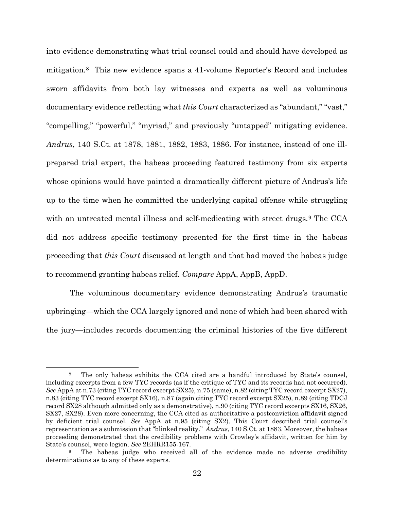into evidence demonstrating what trial counsel could and should have developed as mitigation.[8](#page-31-0) This new evidence spans a 41-volume Reporter's Record and includes sworn affidavits from both lay witnesses and experts as well as voluminous documentary evidence reflecting what *this Court* characterized as "abundant," "vast," "compelling," "powerful," "myriad," and previously "untapped" mitigating evidence. *Andrus*, 140 S.Ct. at 1878, 1881, 1882, 1883, 1886. For instance, instead of one illprepared trial expert, the habeas proceeding featured testimony from six experts whose opinions would have painted a dramatically different picture of Andrus's life up to the time when he committed the underlying capital offense while struggling with an untreated mental illness and self-medicating with street drugs.<sup>[9](#page-31-1)</sup> The CCA did not address specific testimony presented for the first time in the habeas proceeding that *this Court* discussed at length and that had moved the habeas judge to recommend granting habeas relief. *Compare* AppA, AppB, AppD.

The voluminous documentary evidence demonstrating Andrus's traumatic upbringing—which the CCA largely ignored and none of which had been shared with the jury—includes records documenting the criminal histories of the five different

<span id="page-31-0"></span><sup>8</sup> The only habeas exhibits the CCA cited are a handful introduced by State's counsel, including excerpts from a few TYC records (as if the critique of TYC and its records had not occurred). *See* AppA at n.73 (citing TYC record excerpt SX25), n.75 (same), n.82 (citing TYC record excerpt SX27), n.83 (citing TYC record excerpt SX16), n.87 (again citing TYC record excerpt SX25), n.89 (citing TDCJ record SX28 although admitted only as a demonstrative), n.90 (citing TYC record excerpts SX16, SX26, SX27, SX28). Even more concerning, the CCA cited as authoritative a postconviction affidavit signed by deficient trial counsel. *See* AppA at n.95 (citing SX2). This Court described trial counsel's representation as a submission that "blinked reality." *Andrus*, 140 S.Ct. at 1883. Moreover, the habeas proceeding demonstrated that the credibility problems with Crowley's affidavit, written for him by State's counsel, were legion. *See* 2EHRR155-167.

<span id="page-31-1"></span>The habeas judge who received all of the evidence made no adverse credibility determinations as to any of these experts.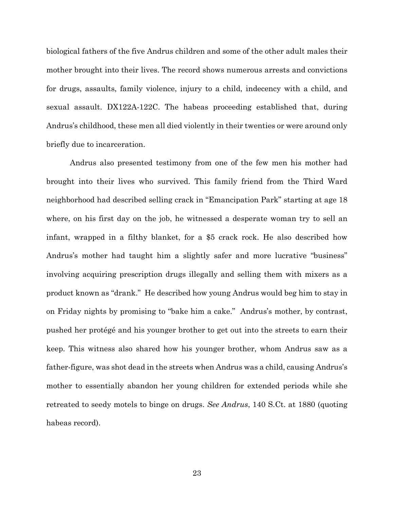biological fathers of the five Andrus children and some of the other adult males their mother brought into their lives. The record shows numerous arrests and convictions for drugs, assaults, family violence, injury to a child, indecency with a child, and sexual assault. DX122A-122C. The habeas proceeding established that, during Andrus's childhood, these men all died violently in their twenties or were around only briefly due to incarceration.

Andrus also presented testimony from one of the few men his mother had brought into their lives who survived. This family friend from the Third Ward neighborhood had described selling crack in "Emancipation Park" starting at age 18 where, on his first day on the job, he witnessed a desperate woman try to sell an infant, wrapped in a filthy blanket, for a \$5 crack rock. He also described how Andrus's mother had taught him a slightly safer and more lucrative "business" involving acquiring prescription drugs illegally and selling them with mixers as a product known as "drank." He described how young Andrus would beg him to stay in on Friday nights by promising to "bake him a cake." Andrus's mother, by contrast, pushed her protégé and his younger brother to get out into the streets to earn their keep. This witness also shared how his younger brother, whom Andrus saw as a father-figure, was shot dead in the streets when Andrus was a child, causing Andrus's mother to essentially abandon her young children for extended periods while she retreated to seedy motels to binge on drugs. *See Andrus*, 140 S.Ct. at 1880 (quoting habeas record).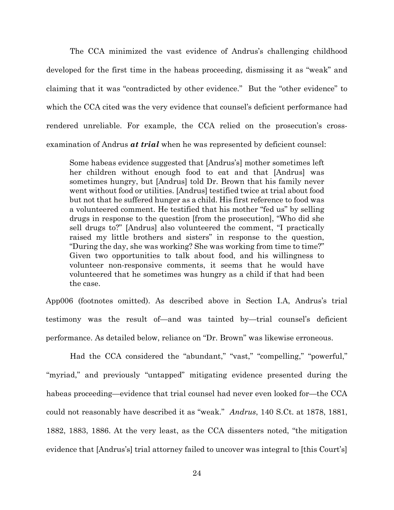The CCA minimized the vast evidence of Andrus's challenging childhood developed for the first time in the habeas proceeding, dismissing it as "weak" and claiming that it was "contradicted by other evidence." But the "other evidence" to which the CCA cited was the very evidence that counsel's deficient performance had rendered unreliable. For example, the CCA relied on the prosecution's crossexamination of Andrus *at trial* when he was represented by deficient counsel:

Some habeas evidence suggested that [Andrus's] mother sometimes left her children without enough food to eat and that [Andrus] was sometimes hungry, but [Andrus] told Dr. Brown that his family never went without food or utilities. [Andrus] testified twice at trial about food but not that he suffered hunger as a child. His first reference to food was a volunteered comment. He testified that his mother "fed us" by selling drugs in response to the question [from the prosecution], "Who did she sell drugs to?" [Andrus] also volunteered the comment, "I practically raised my little brothers and sisters" in response to the question, "During the day, she was working? She was working from time to time?" Given two opportunities to talk about food, and his willingness to volunteer non-responsive comments, it seems that he would have volunteered that he sometimes was hungry as a child if that had been the case.

App006 (footnotes omitted). As described above in Section I.A, Andrus's trial testimony was the result of—and was tainted by—trial counsel's deficient performance. As detailed below, reliance on "Dr. Brown" was likewise erroneous.

Had the CCA considered the "abundant," "vast," "compelling," "powerful," "myriad," and previously "untapped" mitigating evidence presented during the habeas proceeding—evidence that trial counsel had never even looked for—the CCA could not reasonably have described it as "weak." *Andrus*, 140 S.Ct. at 1878, 1881, 1882, 1883, 1886. At the very least, as the CCA dissenters noted, "the mitigation evidence that [Andrus's] trial attorney failed to uncover was integral to [this Court's]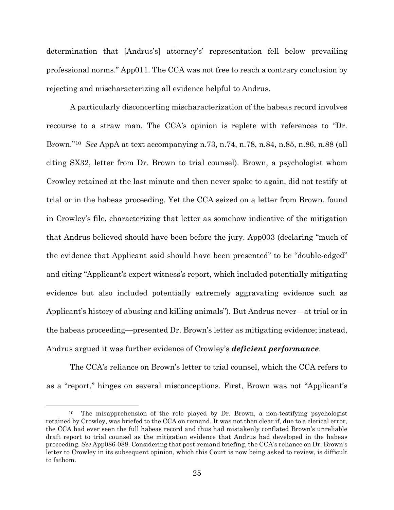determination that [Andrus's] attorney's' representation fell below prevailing professional norms." App011. The CCA was not free to reach a contrary conclusion by rejecting and mischaracterizing all evidence helpful to Andrus.

A particularly disconcerting mischaracterization of the habeas record involves recourse to a straw man. The CCA's opinion is replete with references to "Dr. Brown."[10](#page-34-0) *See* AppA at text accompanying n.73, n.74, n.78, n.84, n.85, n.86, n.88 (all citing SX32, letter from Dr. Brown to trial counsel). Brown, a psychologist whom Crowley retained at the last minute and then never spoke to again, did not testify at trial or in the habeas proceeding. Yet the CCA seized on a letter from Brown, found in Crowley's file, characterizing that letter as somehow indicative of the mitigation that Andrus believed should have been before the jury. App003 (declaring "much of the evidence that Applicant said should have been presented" to be "double-edged" and citing "Applicant's expert witness's report, which included potentially mitigating evidence but also included potentially extremely aggravating evidence such as Applicant's history of abusing and killing animals"). But Andrus never—at trial or in the habeas proceeding—presented Dr. Brown's letter as mitigating evidence; instead, Andrus argued it was further evidence of Crowley's *deficient performance*.

The CCA's reliance on Brown's letter to trial counsel, which the CCA refers to as a "report," hinges on several misconceptions. First, Brown was not "Applicant's

<span id="page-34-0"></span><sup>10</sup> The misapprehension of the role played by Dr. Brown, a non-testifying psychologist retained by Crowley, was briefed to the CCA on remand. It was not then clear if, due to a clerical error, the CCA had ever seen the full habeas record and thus had mistakenly conflated Brown's unreliable draft report to trial counsel as the mitigation evidence that Andrus had developed in the habeas proceeding. *See* App086-088. Considering that post-remand briefing, the CCA's reliance on Dr. Brown's letter to Crowley in its subsequent opinion, which this Court is now being asked to review, is difficult to fathom.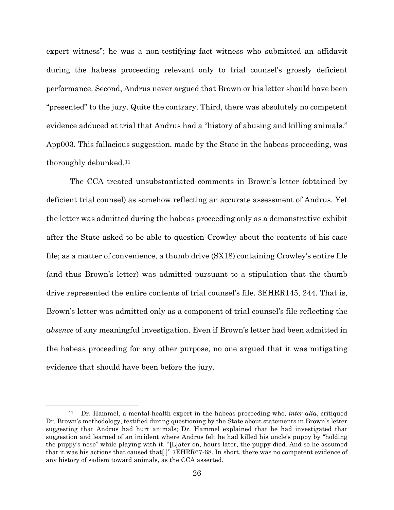expert witness"; he was a non-testifying fact witness who submitted an affidavit during the habeas proceeding relevant only to trial counsel's grossly deficient performance. Second, Andrus never argued that Brown or his letter should have been "presented" to the jury. Quite the contrary. Third, there was absolutely no competent evidence adduced at trial that Andrus had a "history of abusing and killing animals." App003. This fallacious suggestion, made by the State in the habeas proceeding, was thoroughly debunked.[11](#page-35-0)

The CCA treated unsubstantiated comments in Brown's letter (obtained by deficient trial counsel) as somehow reflecting an accurate assessment of Andrus. Yet the letter was admitted during the habeas proceeding only as a demonstrative exhibit after the State asked to be able to question Crowley about the contents of his case file; as a matter of convenience, a thumb drive (SX18) containing Crowley's entire file (and thus Brown's letter) was admitted pursuant to a stipulation that the thumb drive represented the entire contents of trial counsel's file. 3EHRR145, 244. That is, Brown's letter was admitted only as a component of trial counsel's file reflecting the *absence* of any meaningful investigation. Even if Brown's letter had been admitted in the habeas proceeding for any other purpose, no one argued that it was mitigating evidence that should have been before the jury.

<span id="page-35-0"></span><sup>11</sup> Dr. Hammel, a mental-health expert in the habeas proceeding who, *inter alia*, critiqued Dr. Brown's methodology, testified during questioning by the State about statements in Brown's letter suggesting that Andrus had hurt animals; Dr. Hammel explained that he had investigated that suggestion and learned of an incident where Andrus felt he had killed his uncle's puppy by "holding the puppy's nose" while playing with it. "[L]ater on, hours later, the puppy died. And so he assumed that it was his actions that caused that[.]" 7EHRR67-68. In short, there was no competent evidence of any history of sadism toward animals, as the CCA asserted.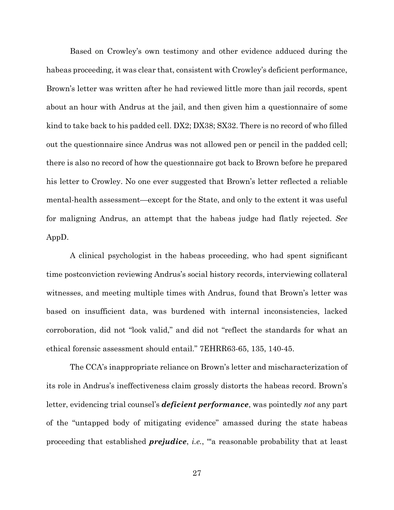Based on Crowley's own testimony and other evidence adduced during the habeas proceeding, it was clear that, consistent with Crowley's deficient performance, Brown's letter was written after he had reviewed little more than jail records, spent about an hour with Andrus at the jail, and then given him a questionnaire of some kind to take back to his padded cell. DX2; DX38; SX32. There is no record of who filled out the questionnaire since Andrus was not allowed pen or pencil in the padded cell; there is also no record of how the questionnaire got back to Brown before he prepared his letter to Crowley. No one ever suggested that Brown's letter reflected a reliable mental-health assessment—except for the State, and only to the extent it was useful for maligning Andrus, an attempt that the habeas judge had flatly rejected. *See*  AppD.

A clinical psychologist in the habeas proceeding, who had spent significant time postconviction reviewing Andrus's social history records, interviewing collateral witnesses, and meeting multiple times with Andrus, found that Brown's letter was based on insufficient data, was burdened with internal inconsistencies, lacked corroboration, did not "look valid," and did not "reflect the standards for what an ethical forensic assessment should entail." 7EHRR63-65, 135, 140-45.

The CCA's inappropriate reliance on Brown's letter and mischaracterization of its role in Andrus's ineffectiveness claim grossly distorts the habeas record. Brown's letter, evidencing trial counsel's *deficient performance*, was pointedly *not* any part of the "untapped body of mitigating evidence" amassed during the state habeas proceeding that established *prejudice*, *i.e.*, "'a reasonable probability that at least

27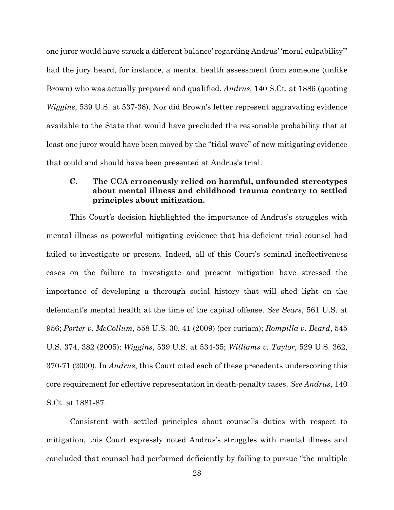one juror would have struck a different balance' regarding Andrus' 'moral culpability'" had the jury heard, for instance, a mental health assessment from someone (unlike Brown) who was actually prepared and qualified. *Andrus*, 140 S.Ct. at 1886 (quoting *Wiggins*, 539 U.S. at 537-38). Nor did Brown's letter represent aggravating evidence available to the State that would have precluded the reasonable probability that at least one juror would have been moved by the "tidal wave" of new mitigating evidence that could and should have been presented at Andrus's trial.

## **C. The CCA erroneously relied on harmful, unfounded stereotypes about mental illness and childhood trauma contrary to settled principles about mitigation.**

This Court's decision highlighted the importance of Andrus's struggles with mental illness as powerful mitigating evidence that his deficient trial counsel had failed to investigate or present. Indeed, all of this Court's seminal ineffectiveness cases on the failure to investigate and present mitigation have stressed the importance of developing a thorough social history that will shed light on the defendant's mental health at the time of the capital offense. *See Sears*, 561 U.S. at 956; *Porter v. McCollum*, 558 U.S. 30, 41 (2009) (per curiam); *Rompilla v. Beard*, 545 U.S. 374, 382 (2005); *Wiggins*, 539 U.S. at 534-35; *Williams v. Taylor*, 529 U.S. 362, 370-71 (2000). In *Andrus*, this Court cited each of these precedents underscoring this core requirement for effective representation in death-penalty cases. *See Andrus*, 140 S.Ct. at 1881-87.

Consistent with settled principles about counsel's duties with respect to mitigation, this Court expressly noted Andrus's struggles with mental illness and concluded that counsel had performed deficiently by failing to pursue "the multiple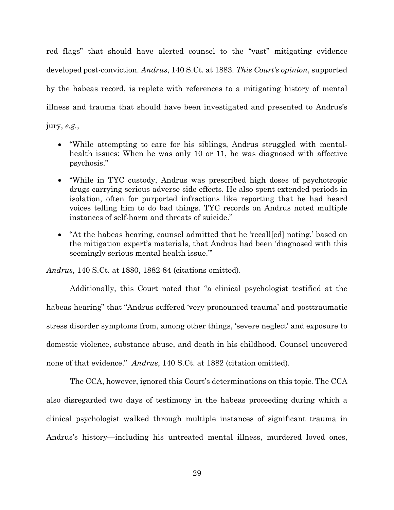red flags" that should have alerted counsel to the "vast" mitigating evidence developed post-conviction. *Andrus*, 140 S.Ct. at 1883. *This Court's opinion*, supported by the habeas record, is replete with references to a mitigating history of mental illness and trauma that should have been investigated and presented to Andrus's

jury, *e.g.*,

- "While attempting to care for his siblings, Andrus struggled with mentalhealth issues: When he was only 10 or 11, he was diagnosed with affective psychosis."
- "While in TYC custody, Andrus was prescribed high doses of psychotropic drugs carrying serious adverse side effects. He also spent extended periods in isolation, often for purported infractions like reporting that he had heard voices telling him to do bad things. TYC records on Andrus noted multiple instances of self-harm and threats of suicide."
- "At the habeas hearing, counsel admitted that he 'recall[ed] noting,' based on the mitigation expert's materials, that Andrus had been 'diagnosed with this seemingly serious mental health issue.'"

*Andrus*, 140 S.Ct. at 1880, 1882-84 (citations omitted).

Additionally, this Court noted that "a clinical psychologist testified at the habeas hearing" that "Andrus suffered 'very pronounced trauma' and posttraumatic stress disorder symptoms from, among other things, 'severe neglect' and exposure to domestic violence, substance abuse, and death in his childhood. Counsel uncovered none of that evidence." *Andrus*, 140 S.Ct. at 1882 (citation omitted).

The CCA, however, ignored this Court's determinations on this topic. The CCA also disregarded two days of testimony in the habeas proceeding during which a clinical psychologist walked through multiple instances of significant trauma in Andrus's history—including his untreated mental illness, murdered loved ones,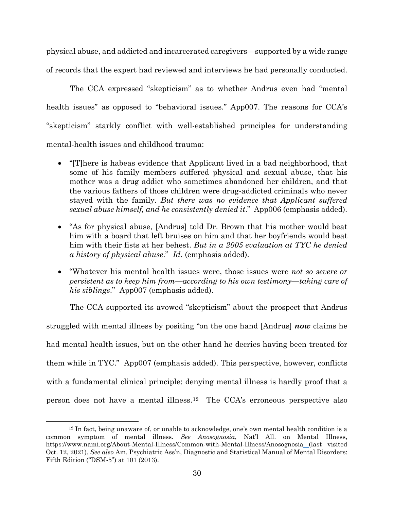physical abuse, and addicted and incarcerated caregivers—supported by a wide range of records that the expert had reviewed and interviews he had personally conducted.

The CCA expressed "skepticism" as to whether Andrus even had "mental health issues" as opposed to "behavioral issues." App007. The reasons for CCA's "skepticism" starkly conflict with well-established principles for understanding mental-health issues and childhood trauma:

- "[T]here is habeas evidence that Applicant lived in a bad neighborhood, that some of his family members suffered physical and sexual abuse, that his mother was a drug addict who sometimes abandoned her children, and that the various fathers of those children were drug-addicted criminals who never stayed with the family. *But there was no evidence that Applicant suffered sexual abuse himself, and he consistently denied it*." App006 (emphasis added).
- "As for physical abuse, [Andrus] told Dr. Brown that his mother would beat him with a board that left bruises on him and that her boyfriends would beat him with their fists at her behest. *But in a 2005 evaluation at TYC he denied a history of physical abuse*." *Id.* (emphasis added).
- "Whatever his mental health issues were, those issues were *not so severe or persistent as to keep him from—according to his own testimony—taking care of his siblings*." App007 (emphasis added).

The CCA supported its avowed "skepticism" about the prospect that Andrus struggled with mental illness by positing "on the one hand [Andrus] *now* claims he had mental health issues, but on the other hand he decries having been treated for them while in TYC." App007 (emphasis added). This perspective, however, conflicts with a fundamental clinical principle: denying mental illness is hardly proof that a person does not have a mental illness.[12](#page-39-0) The CCA's erroneous perspective also

<span id="page-39-0"></span><sup>12</sup> In fact, being unaware of, or unable to acknowledge, one's own mental health condition is a common symptom of mental illness. *See Anosognosia*, Nat'l All. on Mental Illness, https://www.nami.org/About-Mental-Illness/Common-with-Mental-Illness/Anosognosia (last visited Oct. 12, 2021). *See also* Am. Psychiatric Ass'n, Diagnostic and Statistical Manual of Mental Disorders: Fifth Edition ("DSM-5") at 101 (2013).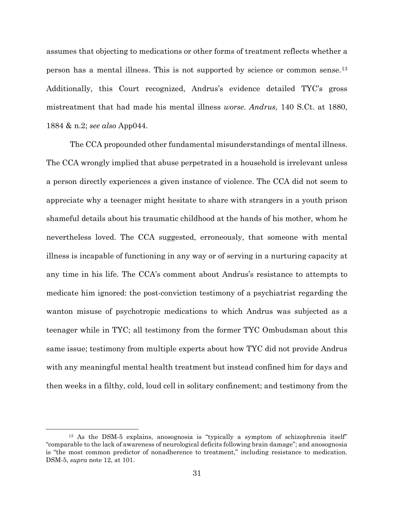assumes that objecting to medications or other forms of treatment reflects whether a person has a mental illness. This is not supported by science or common sense.[13](#page-40-0) Additionally, this Court recognized, Andrus's evidence detailed TYC's gross mistreatment that had made his mental illness *worse*. *Andrus*, 140 S.Ct. at 1880, 1884 & n.2; *see also* App044.

The CCA propounded other fundamental misunderstandings of mental illness. The CCA wrongly implied that abuse perpetrated in a household is irrelevant unless a person directly experiences a given instance of violence. The CCA did not seem to appreciate why a teenager might hesitate to share with strangers in a youth prison shameful details about his traumatic childhood at the hands of his mother, whom he nevertheless loved. The CCA suggested, erroneously, that someone with mental illness is incapable of functioning in any way or of serving in a nurturing capacity at any time in his life. The CCA's comment about Andrus's resistance to attempts to medicate him ignored: the post-conviction testimony of a psychiatrist regarding the wanton misuse of psychotropic medications to which Andrus was subjected as a teenager while in TYC; all testimony from the former TYC Ombudsman about this same issue; testimony from multiple experts about how TYC did not provide Andrus with any meaningful mental health treatment but instead confined him for days and then weeks in a filthy, cold, loud cell in solitary confinement; and testimony from the

<span id="page-40-0"></span><sup>13</sup> As the DSM-5 explains, anosognosia is "typically a symptom of schizophrenia itself" "comparable to the lack of awareness of neurological deficits following brain damage"; and anosognosia is "the most common predictor of nonadherence to treatment," including resistance to medication. DSM-5, *supra* note 12, at 101.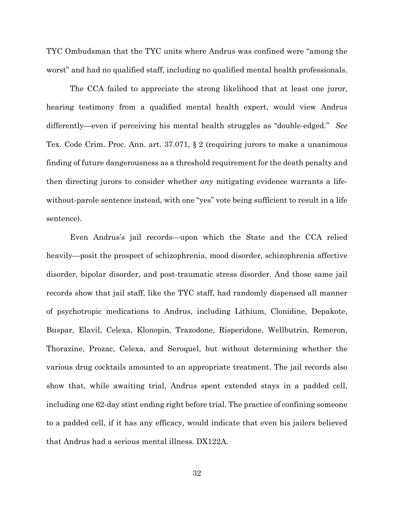TYC Ombudsman that the TYC units where Andrus was confined were "among the worst" and had no qualified staff, including no qualified mental health professionals.

The CCA failed to appreciate the strong likelihood that at least one juror, hearing testimony from a qualified mental health expert, would view Andrus differently—even if perceiving his mental health struggles as "double-edged." *See* Tex. Code Crim. Proc. Ann. art. 37.071, § 2 (requiring jurors to make a unanimous finding of future dangerousness as a threshold requirement for the death penalty and then directing jurors to consider whether *any* mitigating evidence warrants a lifewithout-parole sentence instead, with one "yes" vote being sufficient to result in a life sentence).

Even Andrus's jail records—upon which the State and the CCA relied heavily—posit the prospect of schizophrenia, mood disorder, schizophrenia affective disorder, bipolar disorder, and post-traumatic stress disorder. And those same jail records show that jail staff, like the TYC staff, had randomly dispensed all manner of psychotropic medications to Andrus, including Lithium, Clonidine, Depakote, Buspar, Elavil, Celexa, Klonopin, Trazodone, Risperidone, Wellbutrin, Remeron, Thorazine, Prozac, Celexa, and Seroquel, but without determining whether the various drug cocktails amounted to an appropriate treatment. The jail records also show that, while awaiting trial, Andrus spent extended stays in a padded cell, including one 62-day stint ending right before trial. The practice of confining someone to a padded cell, if it has any efficacy, would indicate that even his jailers believed that Andrus had a serious mental illness. DX122A.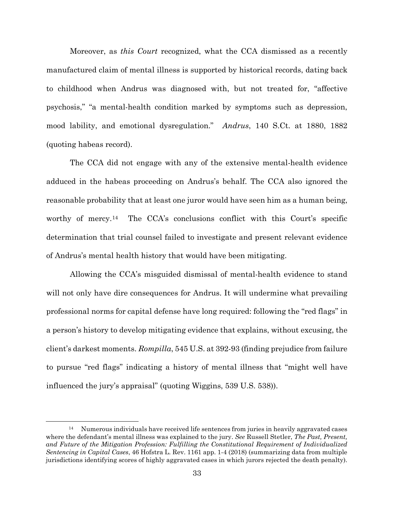Moreover, as *this Court* recognized, what the CCA dismissed as a recently manufactured claim of mental illness is supported by historical records, dating back to childhood when Andrus was diagnosed with, but not treated for, "affective psychosis," "a mental-health condition marked by symptoms such as depression, mood lability, and emotional dysregulation." *Andrus*, 140 S.Ct. at 1880, 1882 (quoting habeas record).

The CCA did not engage with any of the extensive mental-health evidence adduced in the habeas proceeding on Andrus's behalf. The CCA also ignored the reasonable probability that at least one juror would have seen him as a human being, worthy of mercy.<sup>[14](#page-42-0)</sup> The CCA's conclusions conflict with this Court's specific determination that trial counsel failed to investigate and present relevant evidence of Andrus's mental health history that would have been mitigating.

Allowing the CCA's misguided dismissal of mental-health evidence to stand will not only have dire consequences for Andrus. It will undermine what prevailing professional norms for capital defense have long required: following the "red flags" in a person's history to develop mitigating evidence that explains, without excusing, the client's darkest moments. *Rompilla*, 545 U.S. at 392-93 (finding prejudice from failure to pursue "red flags" indicating a history of mental illness that "might well have influenced the jury's appraisal" (quoting Wiggins, 539 U.S. 538)).

<span id="page-42-0"></span><sup>&</sup>lt;sup>14</sup> Numerous individuals have received life sentences from juries in heavily aggravated cases where the defendant's mental illness was explained to the jury. *See* Russell Stetler, *The Past, Present, and Future of the Mitigation Profession: Fulfilling the Constitutional Requirement of Individualized Sentencing in Capital Cases*, 46 Hofstra L. Rev. 1161 app. 1-4 (2018) (summarizing data from multiple jurisdictions identifying scores of highly aggravated cases in which jurors rejected the death penalty).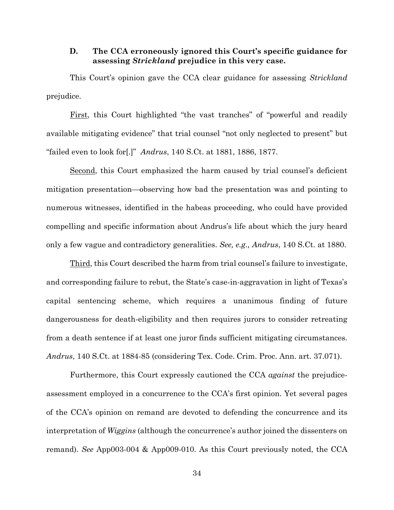### **D. The CCA erroneously ignored this Court's specific guidance for assessing** *Strickland* **prejudice in this very case.**

This Court's opinion gave the CCA clear guidance for assessing *Strickland* prejudice.

First, this Court highlighted "the vast tranches" of "powerful and readily available mitigating evidence" that trial counsel "not only neglected to present" but "failed even to look for[.]" *Andrus*, 140 S.Ct. at 1881, 1886, 1877.

Second, this Court emphasized the harm caused by trial counsel's deficient mitigation presentation—observing how bad the presentation was and pointing to numerous witnesses, identified in the habeas proceeding, who could have provided compelling and specific information about Andrus's life about which the jury heard only a few vague and contradictory generalities. *See, e.g., Andrus*, 140 S.Ct. at 1880.

Third, this Court described the harm from trial counsel's failure to investigate, and corresponding failure to rebut, the State's case-in-aggravation in light of Texas's capital sentencing scheme, which requires a unanimous finding of future dangerousness for death-eligibility and then requires jurors to consider retreating from a death sentence if at least one juror finds sufficient mitigating circumstances. *Andrus*, 140 S.Ct. at 1884-85 (considering Tex. Code. Crim. Proc. Ann. art. 37.071).

Furthermore, this Court expressly cautioned the CCA *against* the prejudiceassessment employed in a concurrence to the CCA's first opinion. Yet several pages of the CCA's opinion on remand are devoted to defending the concurrence and its interpretation of *Wiggins* (although the concurrence's author joined the dissenters on remand). *See* App003-004 & App009-010. As this Court previously noted, the CCA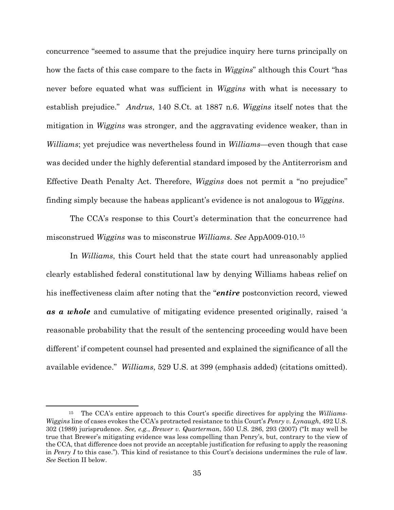concurrence "seemed to assume that the prejudice inquiry here turns principally on how the facts of this case compare to the facts in *Wiggins*" although this Court "has never before equated what was sufficient in *Wiggins* with what is necessary to establish prejudice." *Andrus*, 140 S.Ct. at 1887 n.6. *Wiggins* itself notes that the mitigation in *Wiggins* was stronger, and the aggravating evidence weaker, than in *Williams*; yet prejudice was nevertheless found in *Williams*—even though that case was decided under the highly deferential standard imposed by the Antiterrorism and Effective Death Penalty Act. Therefore, *Wiggins* does not permit a "no prejudice" finding simply because the habeas applicant's evidence is not analogous to *Wiggins*.

The CCA's response to this Court's determination that the concurrence had misconstrued *Wiggins* was to misconstrue *Williams*. *See* AppA009-010.[15](#page-44-0)

In *Williams*, this Court held that the state court had unreasonably applied clearly established federal constitutional law by denying Williams habeas relief on his ineffectiveness claim after noting that the "*entire* postconviction record, viewed *as a whole* and cumulative of mitigating evidence presented originally, raised 'a reasonable probability that the result of the sentencing proceeding would have been different' if competent counsel had presented and explained the significance of all the available evidence." *Williams*, 529 U.S. at 399 (emphasis added) (citations omitted).

<span id="page-44-0"></span><sup>15</sup> The CCA's entire approach to this Court's specific directives for applying the *Williams*-*Wiggins* line of cases evokes the CCA's protracted resistance to this Court's *Penry v. Lynaugh*, 492 U.S. 302 (1989) jurisprudence. *See, e.g.*, *Brewer v. Quarterman*, 550 U.S. 286, 293 (2007) ("It may well be true that Brewer's mitigating evidence was less compelling than Penry's, but, contrary to the view of the CCA, that difference does not provide an acceptable justification for refusing to apply the reasoning in *Penry I* to this case."). This kind of resistance to this Court's decisions undermines the rule of law. *See* Section II below.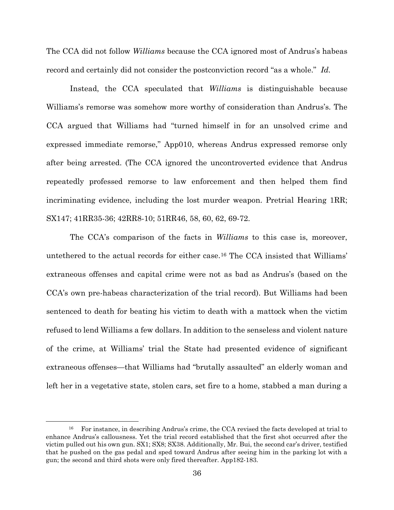The CCA did not follow *Williams* because the CCA ignored most of Andrus's habeas record and certainly did not consider the postconviction record "as a whole." *Id.*

Instead, the CCA speculated that *Williams* is distinguishable because Williams's remorse was somehow more worthy of consideration than Andrus's. The CCA argued that Williams had "turned himself in for an unsolved crime and expressed immediate remorse," App010, whereas Andrus expressed remorse only after being arrested. (The CCA ignored the uncontroverted evidence that Andrus repeatedly professed remorse to law enforcement and then helped them find incriminating evidence, including the lost murder weapon. Pretrial Hearing 1RR; SX147; 41RR35-36; 42RR8-10; 51RR46, 58, 60, 62, 69-72.

The CCA's comparison of the facts in *Williams* to this case is, moreover, untethered to the actual records for either case.[16](#page-45-0) The CCA insisted that Williams' extraneous offenses and capital crime were not as bad as Andrus's (based on the CCA's own pre-habeas characterization of the trial record). But Williams had been sentenced to death for beating his victim to death with a mattock when the victim refused to lend Williams a few dollars. In addition to the senseless and violent nature of the crime, at Williams' trial the State had presented evidence of significant extraneous offenses—that Williams had "brutally assaulted" an elderly woman and left her in a vegetative state, stolen cars, set fire to a home, stabbed a man during a

<span id="page-45-0"></span><sup>&</sup>lt;sup>16</sup> For instance, in describing Andrus's crime, the CCA revised the facts developed at trial to enhance Andrus's callousness. Yet the trial record established that the first shot occurred after the victim pulled out his own gun. SX1; SX8; SX38. Additionally, Mr. Bui, the second car's driver, testified that he pushed on the gas pedal and sped toward Andrus after seeing him in the parking lot with a gun; the second and third shots were only fired thereafter. App182-183.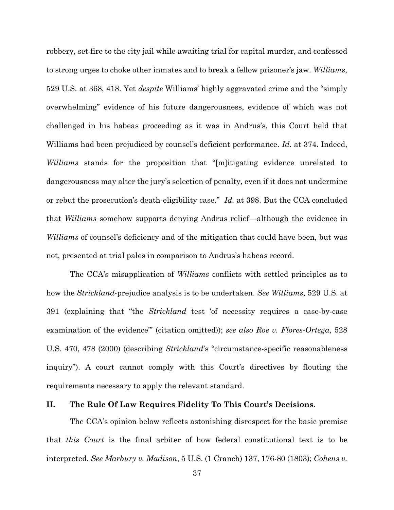robbery, set fire to the city jail while awaiting trial for capital murder, and confessed to strong urges to choke other inmates and to break a fellow prisoner's jaw. *Williams*, 529 U.S. at 368, 418. Yet *despite* Williams' highly aggravated crime and the "simply overwhelming" evidence of his future dangerousness, evidence of which was not challenged in his habeas proceeding as it was in Andrus's, this Court held that Williams had been prejudiced by counsel's deficient performance. *Id.* at 374. Indeed, *Williams* stands for the proposition that "[m]itigating evidence unrelated to dangerousness may alter the jury's selection of penalty, even if it does not undermine or rebut the prosecution's death-eligibility case." *Id.* at 398. But the CCA concluded that *Williams* somehow supports denying Andrus relief—although the evidence in *Williams* of counsel's deficiency and of the mitigation that could have been, but was not, presented at trial pales in comparison to Andrus's habeas record.

The CCA's misapplication of *Williams* conflicts with settled principles as to how the *Strickland*-prejudice analysis is to be undertaken. *See Williams*, 529 U.S. at 391 (explaining that "the *Strickland* test 'of necessity requires a case-by-case examination of the evidence'" (citation omitted)); *see also Roe v. Flores-Ortega*, 528 U.S. 470, 478 (2000) (describing *Strickland*'s "circumstance-specific reasonableness inquiry"). A court cannot comply with this Court's directives by flouting the requirements necessary to apply the relevant standard.

#### **II. The Rule Of Law Requires Fidelity To This Court's Decisions.**

The CCA's opinion below reflects astonishing disrespect for the basic premise that *this Court* is the final arbiter of how federal constitutional text is to be interpreted. *See Marbury v. Madison*, 5 U.S. (1 Cranch) 137, 176-80 (1803); *Cohens v.*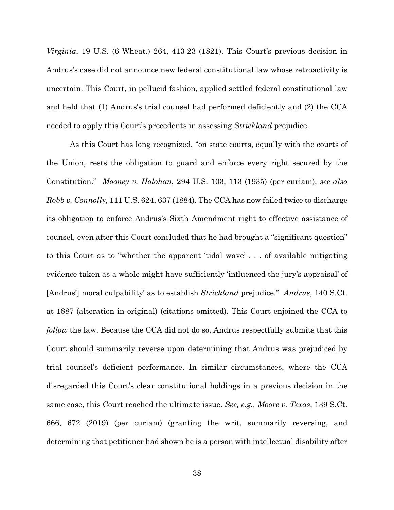*Virginia*, 19 U.S. (6 Wheat.) 264, 413-23 (1821). This Court's previous decision in Andrus's case did not announce new federal constitutional law whose retroactivity is uncertain. This Court, in pellucid fashion, applied settled federal constitutional law and held that (1) Andrus's trial counsel had performed deficiently and (2) the CCA needed to apply this Court's precedents in assessing *Strickland* prejudice.

As this Court has long recognized, "on state courts, equally with the courts of the Union, rests the obligation to guard and enforce every right secured by the Constitution." *Mooney v. Holohan*, 294 U.S. 103, 113 (1935) (per curiam); *see also Robb v. Connolly*, 111 U.S. 624, 637 (1884). The CCA has now failed twice to discharge its obligation to enforce Andrus's Sixth Amendment right to effective assistance of counsel, even after this Court concluded that he had brought a "significant question" to this Court as to "whether the apparent 'tidal wave' . . . of available mitigating evidence taken as a whole might have sufficiently 'influenced the jury's appraisal' of [Andrus'] moral culpability' as to establish *Strickland* prejudice." *Andrus*, 140 S.Ct. at 1887 (alteration in original) (citations omitted). This Court enjoined the CCA to *follow* the law. Because the CCA did not do so, Andrus respectfully submits that this Court should summarily reverse upon determining that Andrus was prejudiced by trial counsel's deficient performance. In similar circumstances, where the CCA disregarded this Court's clear constitutional holdings in a previous decision in the same case, this Court reached the ultimate issue. *See, e.g., Moore v. Texas*, 139 S.Ct. 666, 672 (2019) (per curiam) (granting the writ, summarily reversing, and determining that petitioner had shown he is a person with intellectual disability after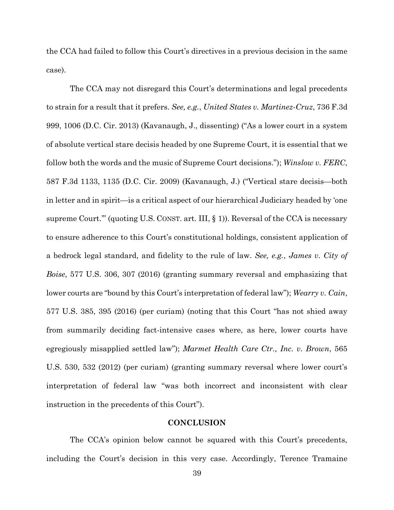the CCA had failed to follow this Court's directives in a previous decision in the same case).

The CCA may not disregard this Court's determinations and legal precedents to strain for a result that it prefers. *See, e.g.*, *United States v. Martinez-Cruz*, 736 F.3d 999, 1006 (D.C. Cir. 2013) (Kavanaugh, J., dissenting) ("As a lower court in a system of absolute vertical stare decisis headed by one Supreme Court, it is essential that we follow both the words and the music of Supreme Court decisions."); *Winslow v. FERC*, 587 F.3d 1133, 1135 (D.C. Cir. 2009) (Kavanaugh, J.) ("Vertical stare decisis—both in letter and in spirit—is a critical aspect of our hierarchical Judiciary headed by 'one supreme Court.'" (quoting U.S. CONST. art. III, § 1)). Reversal of the CCA is necessary to ensure adherence to this Court's constitutional holdings, consistent application of a bedrock legal standard, and fidelity to the rule of law. *See, e.g.*, *James v. City of Boise*, 577 U.S. 306, 307 (2016) (granting summary reversal and emphasizing that lower courts are "bound by this Court's interpretation of federal law"); *Wearry v. Cain*, 577 U.S. 385, 395 (2016) (per curiam) (noting that this Court "has not shied away from summarily deciding fact-intensive cases where, as here, lower courts have egregiously misapplied settled law"); *Marmet Health Care Ctr., Inc. v. Brown*, 565 U.S. 530, 532 (2012) (per curiam) (granting summary reversal where lower court's interpretation of federal law "was both incorrect and inconsistent with clear instruction in the precedents of this Court").

### **CONCLUSION**

The CCA's opinion below cannot be squared with this Court's precedents, including the Court's decision in this very case. Accordingly, Terence Tramaine